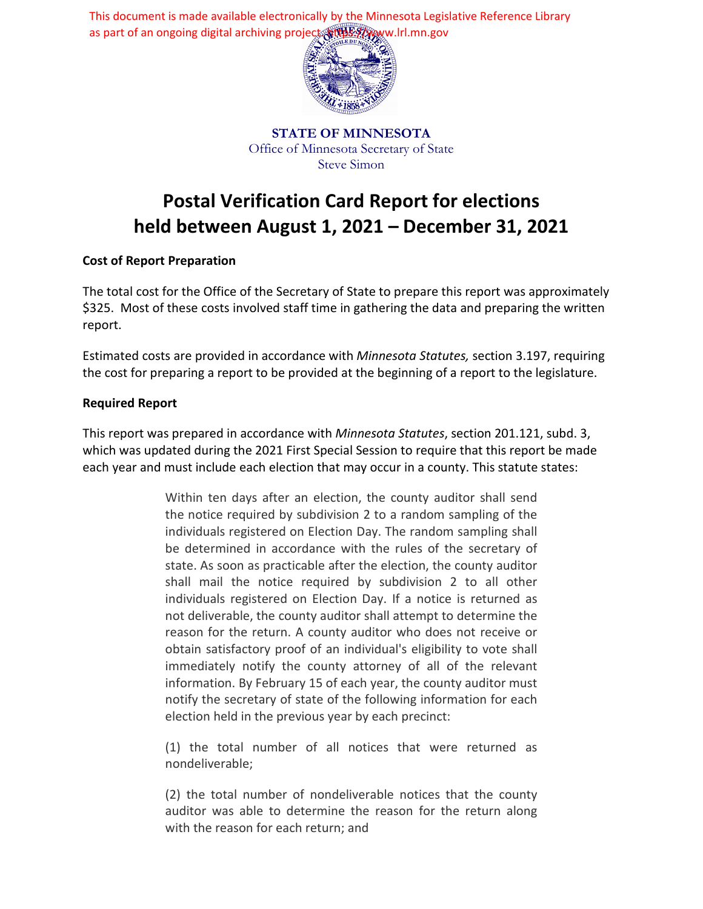This document is made available electronically by the Minnesota Legislative Reference Library as part of an ongoing digital archiving project. https://www.lrl.mn.gov



**STATE OF MINNESOTA** Office of Minnesota Secretary of State Steve Simon

# **Postal Verification Card Report for elections held between August 1, 2021 – December 31, 2021**

## **Cost of Report Preparation**

The total cost for the Office of the Secretary of State to prepare this report was approximately \$325. Most of these costs involved staff time in gathering the data and preparing the written report.

Estimated costs are provided in accordance with *Minnesota Statutes,* section 3.197, requiring the cost for preparing a report to be provided at the beginning of a report to the legislature.

## **Required Report**

This report was prepared in accordance with *Minnesota Statutes*, section 201.121, subd. 3, which was updated during the 2021 First Special Session to require that this report be made each year and must include each election that may occur in a county. This statute states:

> Within ten days after an election, the county auditor shall send the notice required by subdivision 2 to a random sampling of the individuals registered on Election Day. The random sampling shall be determined in accordance with the rules of the secretary of state. As soon as practicable after the election, the county auditor shall mail the notice required by subdivision 2 to all other individuals registered on Election Day. If a notice is returned as not deliverable, the county auditor shall attempt to determine the reason for the return. A county auditor who does not receive or obtain satisfactory proof of an individual's eligibility to vote shall immediately notify the county attorney of all of the relevant information. By February 15 of each year, the county auditor must notify the secretary of state of the following information for each election held in the previous year by each precinct:

> (1) the total number of all notices that were returned as nondeliverable;

> (2) the total number of nondeliverable notices that the county auditor was able to determine the reason for the return along with the reason for each return; and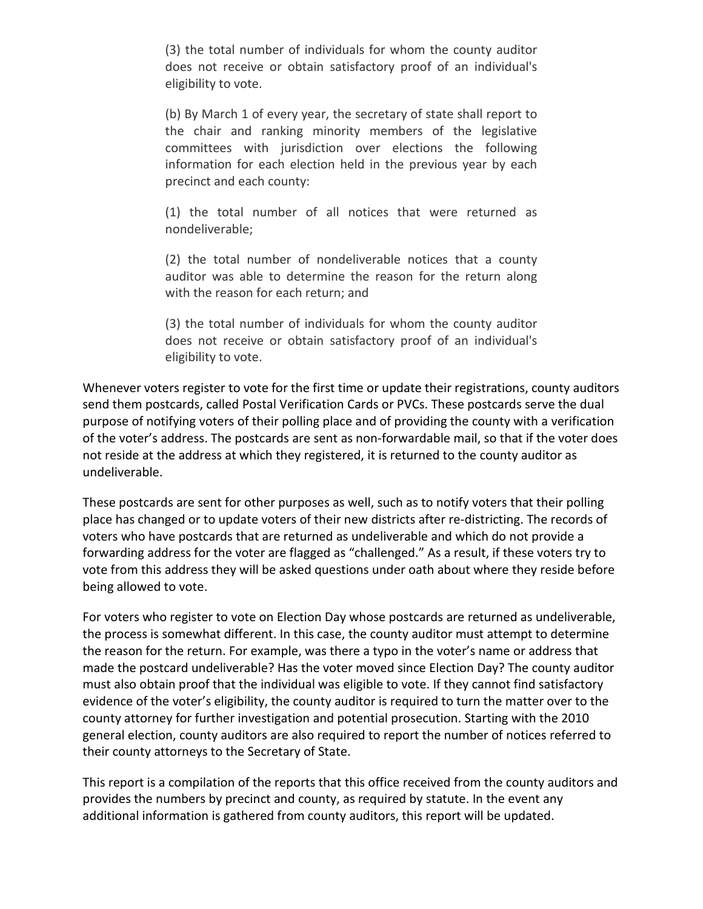(3) the total number of individuals for whom the county auditor does not receive or obtain satisfactory proof of an individual's eligibility to vote.

(b) By March 1 of every year, the secretary of state shall report to the chair and ranking minority members of the legislative committees with jurisdiction over elections the following information for each election held in the previous year by each precinct and each county:

(1) the total number of all notices that were returned as nondeliverable;

(2) the total number of nondeliverable notices that a county auditor was able to determine the reason for the return along with the reason for each return; and

(3) the total number of individuals for whom the county auditor does not receive or obtain satisfactory proof of an individual's eligibility to vote.

Whenever voters register to vote for the first time or update their registrations, county auditors send them postcards, called Postal Verification Cards or PVCs. These postcards serve the dual purpose of notifying voters of their polling place and of providing the county with a verification of the voter's address. The postcards are sent as non-forwardable mail, so that if the voter does not reside at the address at which they registered, it is returned to the county auditor as undeliverable.

These postcards are sent for other purposes as well, such as to notify voters that their polling place has changed or to update voters of their new districts after re-districting. The records of voters who have postcards that are returned as undeliverable and which do not provide a forwarding address for the voter are flagged as "challenged." As a result, if these voters try to vote from this address they will be asked questions under oath about where they reside before being allowed to vote.

For voters who register to vote on Election Day whose postcards are returned as undeliverable, the process is somewhat different. In this case, the county auditor must attempt to determine the reason for the return. For example, was there a typo in the voter's name or address that made the postcard undeliverable? Has the voter moved since Election Day? The county auditor must also obtain proof that the individual was eligible to vote. If they cannot find satisfactory evidence of the voter's eligibility, the county auditor is required to turn the matter over to the county attorney for further investigation and potential prosecution. Starting with the 2010 general election, county auditors are also required to report the number of notices referred to their county attorneys to the Secretary of State.

This report is a compilation of the reports that this office received from the county auditors and provides the numbers by precinct and county, as required by statute. In the event any additional information is gathered from county auditors, this report will be updated.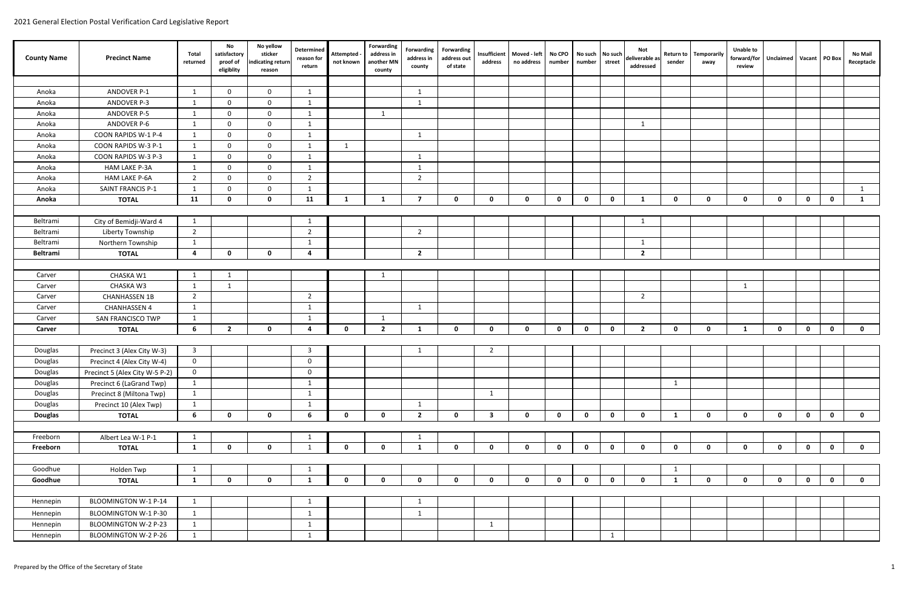| <b>County Name</b> | <b>Precinct Name</b>           | Total<br>returned       | No<br>satisfactory<br>proof of<br>eligiblity | No yellow<br>sticker<br>indicating return<br>reason | Determined<br>reason for<br>return | Attempted -<br>not known | Forwarding<br>address in<br>another MN<br>county | Forwarding<br>address in<br>county | <b>Forwarding</b><br>address out<br>of state | address                 | Insufficient   Moved - left<br>no address | No CPO<br>number | number       | No such No such<br>street | Not<br>deliverable as<br>addressed | Return to<br>sender | Temporarily<br>away | <b>Unable to</b><br>forward/for Unclaimed Vacant PO Box<br>review |             |              |              | <b>No Mail</b><br>Receptacle |
|--------------------|--------------------------------|-------------------------|----------------------------------------------|-----------------------------------------------------|------------------------------------|--------------------------|--------------------------------------------------|------------------------------------|----------------------------------------------|-------------------------|-------------------------------------------|------------------|--------------|---------------------------|------------------------------------|---------------------|---------------------|-------------------------------------------------------------------|-------------|--------------|--------------|------------------------------|
|                    |                                |                         |                                              |                                                     |                                    |                          |                                                  |                                    |                                              |                         |                                           |                  |              |                           |                                    |                     |                     |                                                                   |             |              |              |                              |
| Anoka              | ANDOVER P-1                    | $\overline{1}$          | $\Omega$                                     | $\mathbf{0}$                                        | -1                                 |                          |                                                  | -1                                 |                                              |                         |                                           |                  |              |                           |                                    |                     |                     |                                                                   |             |              |              |                              |
| Anoka              | ANDOVER P-3                    |                         | $\Omega$                                     | $\mathbf 0$                                         | -1                                 |                          |                                                  | 1                                  |                                              |                         |                                           |                  |              |                           |                                    |                     |                     |                                                                   |             |              |              |                              |
| Anoka              | ANDOVER P-5                    | 1                       | $\Omega$                                     | $\mathbf 0$                                         | $\overline{1}$                     |                          | 1                                                |                                    |                                              |                         |                                           |                  |              |                           |                                    |                     |                     |                                                                   |             |              |              |                              |
| Anoka              | ANDOVER P-6                    | $\mathbf{1}$            | $\Omega$                                     | $\mathbf 0$                                         | $\mathbf{1}$                       |                          |                                                  |                                    |                                              |                         |                                           |                  |              |                           | $\mathbf{1}$                       |                     |                     |                                                                   |             |              |              |                              |
| Anoka              | COON RAPIDS W-1 P-4            | 1                       | $\Omega$                                     | $\mathbf 0$                                         | 1                                  |                          |                                                  | 1                                  |                                              |                         |                                           |                  |              |                           |                                    |                     |                     |                                                                   |             |              |              |                              |
| Anoka              | COON RAPIDS W-3 P-1            | 1                       | $\overline{0}$                               | $\mathbf 0$                                         | 1                                  | 1                        |                                                  |                                    |                                              |                         |                                           |                  |              |                           |                                    |                     |                     |                                                                   |             |              |              |                              |
| Anoka              | COON RAPIDS W-3 P-3            | 1                       | $\mathbf 0$                                  | $\mathbf 0$                                         | 1                                  |                          |                                                  | 1                                  |                                              |                         |                                           |                  |              |                           |                                    |                     |                     |                                                                   |             |              |              |                              |
| Anoka              | <b>HAM LAKE P-3A</b>           | $\mathbf{1}$            | $\Omega$                                     | $\mathbf 0$                                         | 1                                  |                          |                                                  | $\mathbf{1}$                       |                                              |                         |                                           |                  |              |                           |                                    |                     |                     |                                                                   |             |              |              |                              |
| Anoka              | <b>HAM LAKE P-6A</b>           | 2                       | $\Omega$                                     | $\mathbf 0$                                         | $\overline{2}$                     |                          |                                                  | $\overline{2}$                     |                                              |                         |                                           |                  |              |                           |                                    |                     |                     |                                                                   |             |              |              |                              |
| Anoka              | SAINT FRANCIS P-1              | $\overline{1}$          | $\Omega$                                     | $\mathbf 0$                                         | $\mathbf{1}$                       |                          |                                                  |                                    |                                              |                         |                                           |                  |              |                           |                                    |                     |                     |                                                                   |             |              |              | 1                            |
| Anoka              | <b>TOTAL</b>                   | 11                      | 0                                            | $\mathbf 0$                                         | 11                                 | 1                        | 1                                                | $\mathbf{7}$                       | $\mathbf 0$                                  | $\mathbf 0$             | $\mathbf 0$                               | $\mathbf 0$      | $\mathbf 0$  | $\mathbf{0}$              | -1                                 | $\mathbf 0$         | $\mathbf{0}$        | $\mathbf{0}$                                                      | $\mathbf 0$ | $\mathbf{0}$ | $\mathbf 0$  | -1                           |
|                    |                                |                         |                                              |                                                     |                                    |                          |                                                  |                                    |                                              |                         |                                           |                  |              |                           |                                    |                     |                     |                                                                   |             |              |              |                              |
| Beltrami           | City of Bemidji-Ward 4         | 1                       |                                              |                                                     | 1                                  |                          |                                                  |                                    |                                              |                         |                                           |                  |              |                           | -1                                 |                     |                     |                                                                   |             |              |              |                              |
| Beltrami           | Liberty Township               | $\overline{2}$          |                                              |                                                     | $\overline{2}$                     |                          |                                                  | $\overline{2}$                     |                                              |                         |                                           |                  |              |                           |                                    |                     |                     |                                                                   |             |              |              |                              |
| Beltrami           | Northern Township              | 1                       |                                              |                                                     | $\mathbf{1}$                       |                          |                                                  |                                    |                                              |                         |                                           |                  |              |                           | $\mathbf{1}$                       |                     |                     |                                                                   |             |              |              |                              |
| <b>Beltrami</b>    | <b>TOTAL</b>                   | 4                       | $\mathbf{0}$                                 | $\mathbf 0$                                         | $\mathbf{a}$                       |                          |                                                  | $\overline{2}$                     |                                              |                         |                                           |                  |              |                           | $\overline{2}$                     |                     |                     |                                                                   |             |              |              |                              |
|                    |                                |                         |                                              |                                                     |                                    |                          |                                                  |                                    |                                              |                         |                                           |                  |              |                           |                                    |                     |                     |                                                                   |             |              |              |                              |
| Carver             | CHASKA W1                      | -1                      | -1                                           |                                                     |                                    |                          | -1                                               |                                    |                                              |                         |                                           |                  |              |                           |                                    |                     |                     |                                                                   |             |              |              |                              |
| Carver             | CHASKA W3                      | 1                       | 1                                            |                                                     |                                    |                          |                                                  |                                    |                                              |                         |                                           |                  |              |                           |                                    |                     |                     | 1                                                                 |             |              |              |                              |
| Carver             | <b>CHANHASSEN 1B</b>           | $\overline{2}$          |                                              |                                                     | $\overline{2}$                     |                          |                                                  |                                    |                                              |                         |                                           |                  |              |                           | $\overline{2}$                     |                     |                     |                                                                   |             |              |              |                              |
| Carver             | <b>CHANHASSEN 4</b>            | 1                       |                                              |                                                     | 1                                  |                          |                                                  | 1                                  |                                              |                         |                                           |                  |              |                           |                                    |                     |                     |                                                                   |             |              |              |                              |
| Carver             | SAN FRANCISCO TWP              | 1                       |                                              |                                                     | $\overline{1}$                     |                          | $\mathbf{1}$                                     |                                    |                                              |                         |                                           |                  |              |                           |                                    |                     |                     |                                                                   |             |              |              |                              |
| Carver             | <b>TOTAL</b>                   | 6                       | $\overline{2}$                               | $\mathbf{0}$                                        | 4                                  | $\mathbf 0$              | $\overline{2}$                                   | 1                                  | $\mathbf 0$                                  | $\mathbf 0$             | $\mathbf 0$                               | $\mathbf 0$      | $\mathbf{0}$ | $\mathbf{0}$              | $\overline{2}$                     | $\mathbf 0$         | $\mathbf{0}$        | 1                                                                 | $\mathbf 0$ | $\mathbf{0}$ | $\mathbf 0$  | $\mathbf 0$                  |
|                    |                                |                         |                                              |                                                     |                                    |                          |                                                  |                                    |                                              |                         |                                           |                  |              |                           |                                    |                     |                     |                                                                   |             |              |              |                              |
| Douglas            | Precinct 3 (Alex City W-3)     | $\overline{\mathbf{3}}$ |                                              |                                                     | $\overline{3}$                     |                          |                                                  | -1                                 |                                              | $\overline{2}$          |                                           |                  |              |                           |                                    |                     |                     |                                                                   |             |              |              |                              |
| Douglas            | Precinct 4 (Alex City W-4)     | $\mathbf 0$             |                                              |                                                     | $\mathbf 0$                        |                          |                                                  |                                    |                                              |                         |                                           |                  |              |                           |                                    |                     |                     |                                                                   |             |              |              |                              |
| Douglas            | Precinct 5 (Alex City W-5 P-2) | $\overline{\mathbf{0}}$ |                                              |                                                     | $\mathbf 0$                        |                          |                                                  |                                    |                                              |                         |                                           |                  |              |                           |                                    |                     |                     |                                                                   |             |              |              |                              |
| Douglas            | Precinct 6 (LaGrand Twp)       | 1                       |                                              |                                                     | 1                                  |                          |                                                  |                                    |                                              |                         |                                           |                  |              |                           |                                    | $\mathbf{1}$        |                     |                                                                   |             |              |              |                              |
| Douglas            | Precinct 8 (Miltona Twp)       | 1                       |                                              |                                                     | 1                                  |                          |                                                  |                                    |                                              | 1                       |                                           |                  |              |                           |                                    |                     |                     |                                                                   |             |              |              |                              |
| Douglas            | Precinct 10 (Alex Twp)         | 1                       |                                              |                                                     | -1                                 |                          |                                                  | 1                                  |                                              |                         |                                           |                  |              |                           |                                    |                     |                     |                                                                   |             |              |              |                              |
| <b>Douglas</b>     | <b>TOTAL</b>                   | 6                       | $\mathbf{0}$                                 | $\mathbf 0$                                         | 6                                  | $\mathbf 0$              | $\mathbf{0}$                                     | $\overline{2}$                     | $\mathbf 0$                                  | $\overline{\mathbf{3}}$ | $\mathbf 0$                               | $\mathbf 0$      | $\mathbf 0$  | $\mathbf 0$               | $\mathbf 0$                        | $\mathbf{1}$        | $\mathbf 0$         | $\mathbf{0}$                                                      | $\mathbf 0$ | $\mathbf 0$  | $\mathbf{0}$ | $\mathbf{0}$                 |
|                    |                                |                         |                                              |                                                     |                                    |                          |                                                  |                                    |                                              |                         |                                           |                  |              |                           |                                    |                     |                     |                                                                   |             |              |              |                              |
| Freeborn           | Albert Lea W-1 P-1             | 1                       |                                              |                                                     | 1                                  |                          |                                                  | $\mathbf{1}$                       |                                              |                         |                                           |                  |              |                           |                                    |                     |                     |                                                                   |             |              |              |                              |
| Freeborn           | <b>TOTAL</b>                   | 1                       | $\mathbf{0}$                                 | $\mathbf{0}$                                        | 1                                  | $\mathbf 0$              | $\mathbf{0}$                                     | $\mathbf{1}$                       | $\mathbf 0$                                  | $\mathbf 0$             | $\mathbf 0$                               | $\mathbf 0$      | $\mathbf 0$  | $\mathbf{0}$              | $\mathbf 0$                        | $\mathbf{0}$        | $\mathbf{0}$        | $\mathbf{0}$                                                      | $\mathbf 0$ | $\mathbf 0$  | $\mathbf{0}$ | $\mathbf 0$                  |
|                    |                                |                         |                                              |                                                     |                                    |                          |                                                  |                                    |                                              |                         |                                           |                  |              |                           |                                    |                     |                     |                                                                   |             |              |              |                              |
| Goodhue            | Holden Twp                     | 1                       |                                              |                                                     | -1                                 |                          |                                                  |                                    |                                              |                         |                                           |                  |              |                           |                                    | 1                   |                     |                                                                   |             |              |              |                              |
| Goodhue            | <b>TOTAL</b>                   | 1                       | $\mathbf 0$                                  | $\mathbf 0$                                         | 1                                  | $\mathbf 0$              | $\mathbf 0$                                      | $\mathbf 0$                        | $\mathbf 0$                                  | $\mathbf 0$             | $\mathbf 0$                               | $\mathbf 0$      | $\mathbf 0$  | $\mathbf 0$               | $\mathbf 0$                        | $\mathbf{1}$        | $\mathbf{0}$        | $\mathbf 0$                                                       | $\mathbf 0$ | $\mathbf 0$  | $\mathbf{0}$ | $\mathbf{0}$                 |
| Hennepin           | BLOOMINGTON W-1 P-14           | 1                       |                                              |                                                     |                                    |                          |                                                  | $\mathbf{1}$                       |                                              |                         |                                           |                  |              |                           |                                    |                     |                     |                                                                   |             |              |              |                              |
|                    |                                |                         |                                              |                                                     | $\mathbf{1}$                       |                          |                                                  |                                    |                                              |                         |                                           |                  |              |                           |                                    |                     |                     |                                                                   |             |              |              |                              |
| Hennepin           | BLOOMINGTON W-1 P-30           | 1                       |                                              |                                                     | 1                                  |                          |                                                  | $\mathbf{1}$                       |                                              |                         |                                           |                  |              |                           |                                    |                     |                     |                                                                   |             |              |              |                              |
| Hennepin           | BLOOMINGTON W-2 P-23           | 1                       |                                              |                                                     | 1                                  |                          |                                                  |                                    |                                              | 1                       |                                           |                  |              |                           |                                    |                     |                     |                                                                   |             |              |              |                              |
| Hennepin           | BLOOMINGTON W-2 P-26           | 1                       |                                              |                                                     | 1                                  |                          |                                                  |                                    |                                              |                         |                                           |                  |              | 1                         |                                    |                     |                     |                                                                   |             |              |              |                              |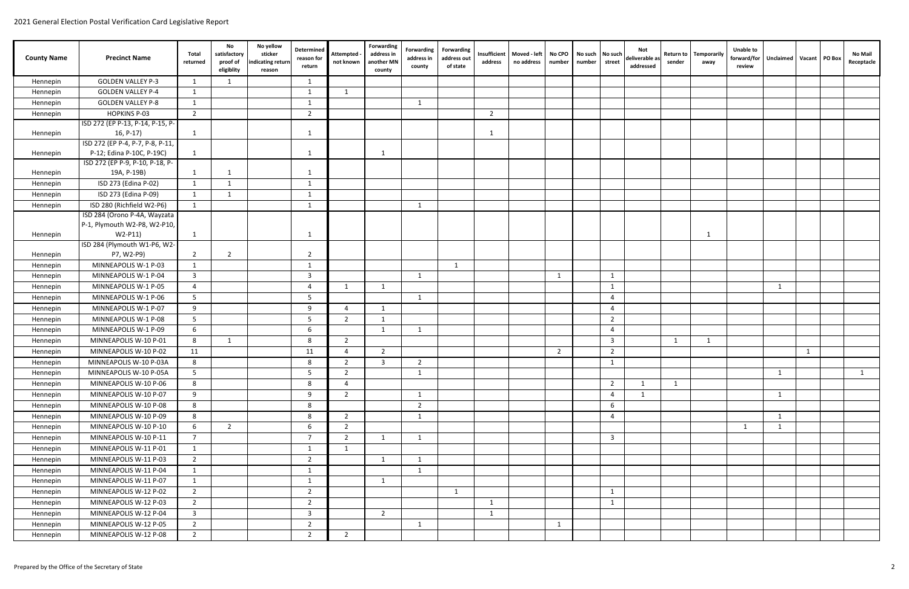| <b>County Name</b>   | <b>Precinct Name</b>                    | Total<br>returned | No<br>satisfactory<br>proof of<br>eligiblity | No yellow<br>sticker<br>ndicating return<br>reason | Determined<br>reason for<br>return | <b>Attempted</b><br>not known | Forwarding<br>address in<br>another MN<br>county | Forwarding<br>address in<br>county | Forwarding<br>address out<br>of state | Insufficient<br>address | Moved - left<br>no address | No CPO<br>number | No such<br>number | No such<br>street        | Not<br>deliverable as<br>addressed | <b>Return to</b><br>sender | <b>Temporarily</b><br>away | <b>Unable to</b><br>forward/for<br>review | Unclaimed   Vacant   PO Box |   | No Mail<br>Receptacle |
|----------------------|-----------------------------------------|-------------------|----------------------------------------------|----------------------------------------------------|------------------------------------|-------------------------------|--------------------------------------------------|------------------------------------|---------------------------------------|-------------------------|----------------------------|------------------|-------------------|--------------------------|------------------------------------|----------------------------|----------------------------|-------------------------------------------|-----------------------------|---|-----------------------|
| Hennepin             | <b>GOLDEN VALLEY P-3</b>                |                   |                                              |                                                    | $\mathbf{1}$                       |                               |                                                  |                                    |                                       |                         |                            |                  |                   |                          |                                    |                            |                            |                                           |                             |   |                       |
| Hennepin             | <b>GOLDEN VALLEY P-4</b>                | -1                |                                              |                                                    | $\mathbf{1}$                       | 1                             |                                                  |                                    |                                       |                         |                            |                  |                   |                          |                                    |                            |                            |                                           |                             |   |                       |
| Hennepin             | <b>GOLDEN VALLEY P-8</b>                | $\overline{1}$    |                                              |                                                    | $\mathbf{1}$                       |                               |                                                  | 1                                  |                                       |                         |                            |                  |                   |                          |                                    |                            |                            |                                           |                             |   |                       |
| Hennepin             | <b>HOPKINS P-03</b>                     | $\overline{2}$    |                                              |                                                    | $\overline{2}$                     |                               |                                                  |                                    |                                       | $\overline{2}$          |                            |                  |                   |                          |                                    |                            |                            |                                           |                             |   |                       |
|                      | ISD 272 (EP P-13, P-14, P-15, P-        |                   |                                              |                                                    |                                    |                               |                                                  |                                    |                                       |                         |                            |                  |                   |                          |                                    |                            |                            |                                           |                             |   |                       |
| Hennepin             | $16, P-17$                              | -1                |                                              |                                                    | $\mathbf{1}$                       |                               |                                                  |                                    |                                       | -1                      |                            |                  |                   |                          |                                    |                            |                            |                                           |                             |   |                       |
|                      | ISD 272 (EP P-4, P-7, P-8, P-11,        |                   |                                              |                                                    |                                    |                               |                                                  |                                    |                                       |                         |                            |                  |                   |                          |                                    |                            |                            |                                           |                             |   |                       |
| Hennepin             | P-12; Edina P-10C, P-19C)               | -1                |                                              |                                                    | $\mathbf{1}$                       |                               | -1                                               |                                    |                                       |                         |                            |                  |                   |                          |                                    |                            |                            |                                           |                             |   |                       |
|                      | ISD 272 (EP P-9, P-10, P-18, P-         |                   |                                              |                                                    |                                    |                               |                                                  |                                    |                                       |                         |                            |                  |                   |                          |                                    |                            |                            |                                           |                             |   |                       |
| Hennepin             | 19A, P-19B)                             | - 1               |                                              |                                                    | -1                                 |                               |                                                  |                                    |                                       |                         |                            |                  |                   |                          |                                    |                            |                            |                                           |                             |   |                       |
| Hennepin             | ISD 273 (Edina P-02)                    |                   |                                              |                                                    | - 1                                |                               |                                                  |                                    |                                       |                         |                            |                  |                   |                          |                                    |                            |                            |                                           |                             |   |                       |
| Hennepin             | ISD 273 (Edina P-09)                    | -1                | $\mathbf{1}$                                 |                                                    | $\overline{1}$                     |                               |                                                  |                                    |                                       |                         |                            |                  |                   |                          |                                    |                            |                            |                                           |                             |   |                       |
| Hennepin             | ISD 280 (Richfield W2-P6)               | 1                 |                                              |                                                    | $\mathbf{1}$                       |                               |                                                  | 1                                  |                                       |                         |                            |                  |                   |                          |                                    |                            |                            |                                           |                             |   |                       |
|                      | ISD 284 (Orono P-4A, Wayzata            |                   |                                              |                                                    |                                    |                               |                                                  |                                    |                                       |                         |                            |                  |                   |                          |                                    |                            |                            |                                           |                             |   |                       |
|                      | P-1, Plymouth W2-P8, W2-P10,            |                   |                                              |                                                    |                                    |                               |                                                  |                                    |                                       |                         |                            |                  |                   |                          |                                    |                            |                            |                                           |                             |   |                       |
| Hennepin             | W2-P11)<br>ISD 284 (Plymouth W1-P6, W2- | -1                |                                              |                                                    | $\mathbf{1}$                       |                               |                                                  |                                    |                                       |                         |                            |                  |                   |                          |                                    |                            |                            |                                           |                             |   |                       |
| Hennepin             | P7, W2-P9)                              | 2                 | 2                                            |                                                    | $\overline{2}$                     |                               |                                                  |                                    |                                       |                         |                            |                  |                   |                          |                                    |                            |                            |                                           |                             |   |                       |
| Hennepin             | MINNEAPOLIS W-1 P-03                    | 1                 |                                              |                                                    | 1                                  |                               |                                                  |                                    | 1                                     |                         |                            |                  |                   |                          |                                    |                            |                            |                                           |                             |   |                       |
| Hennepin             | MINNEAPOLIS W-1 P-04                    | 3                 |                                              |                                                    | 3                                  |                               |                                                  | $\overline{\mathbf{1}}$            |                                       |                         |                            |                  |                   | $\overline{1}$           |                                    |                            |                            |                                           |                             |   |                       |
| Hennepin             | MINNEAPOLIS W-1 P-05                    | $\overline{a}$    |                                              |                                                    | $\overline{4}$                     | 1                             | $\mathbf{1}$                                     |                                    |                                       |                         |                            |                  |                   | -1                       |                                    |                            |                            |                                           | 1                           |   |                       |
| Hennepin             | MINNEAPOLIS W-1 P-06                    | -5                |                                              |                                                    | 5                                  |                               |                                                  | -1                                 |                                       |                         |                            |                  |                   | $\overline{a}$           |                                    |                            |                            |                                           |                             |   |                       |
| Hennepin             | MINNEAPOLIS W-1 P-07                    | 9                 |                                              |                                                    | 9                                  | $\overline{4}$                | 1                                                |                                    |                                       |                         |                            |                  |                   | $\overline{a}$           |                                    |                            |                            |                                           |                             |   |                       |
| Hennepin             | MINNEAPOLIS W-1 P-08                    | -5                |                                              |                                                    | 5                                  | $\overline{2}$                | 1                                                |                                    |                                       |                         |                            |                  |                   | $\overline{2}$           |                                    |                            |                            |                                           |                             |   |                       |
| Hennepin             | MINNEAPOLIS W-1 P-09                    | 6                 |                                              |                                                    | 6                                  |                               | 1                                                | 1                                  |                                       |                         |                            |                  |                   | $\overline{4}$           |                                    |                            |                            |                                           |                             |   |                       |
|                      | MINNEAPOLIS W-10 P-01                   | 8                 | -1                                           |                                                    | 8                                  | $\overline{2}$                |                                                  |                                    |                                       |                         |                            |                  |                   | $\overline{3}$           |                                    | 1                          | 1                          |                                           |                             |   |                       |
| Hennepin<br>Hennepin | MINNEAPOLIS W-10 P-02                   | 11                |                                              |                                                    | 11                                 | $\overline{4}$                | 2                                                |                                    |                                       |                         |                            | $\overline{2}$   |                   | $\overline{2}$           |                                    |                            |                            |                                           |                             | 1 |                       |
|                      | MINNEAPOLIS W-10 P-03A                  | 8                 |                                              |                                                    | 8                                  | $\overline{2}$                | $\overline{\mathbf{3}}$                          | $\overline{2}$                     |                                       |                         |                            |                  |                   | $\mathbf{1}$             |                                    |                            |                            |                                           |                             |   |                       |
| Hennepin<br>Hennepin | MINNEAPOLIS W-10 P-05A                  | 5 <sub>5</sub>    |                                              |                                                    | 5                                  | $\overline{2}$                |                                                  | $\mathbf{1}$                       |                                       |                         |                            |                  |                   |                          |                                    |                            |                            |                                           | $\mathbf{1}$                |   |                       |
|                      | MINNEAPOLIS W-10 P-06                   | 8                 |                                              |                                                    | 8                                  | $\overline{4}$                |                                                  |                                    |                                       |                         |                            |                  |                   | $\overline{2}$           | $\mathbf{1}$                       | 1                          |                            |                                           |                             |   | $\mathbf{1}$          |
| Hennepin             | MINNEAPOLIS W-10 P-07                   | 9                 |                                              |                                                    | 9                                  | $\overline{2}$                |                                                  | $\mathbf{1}$                       |                                       |                         |                            |                  |                   | $\overline{\mathcal{A}}$ | $\mathbf{1}$                       |                            |                            |                                           | 1                           |   |                       |
| Hennepin             |                                         |                   |                                              |                                                    |                                    |                               |                                                  |                                    |                                       |                         |                            |                  |                   |                          |                                    |                            |                            |                                           |                             |   |                       |
| Hennepin             | MINNEAPOLIS W-10 P-08                   | 8                 |                                              |                                                    | 8                                  |                               |                                                  | $\overline{2}$                     |                                       |                         |                            |                  |                   | 6                        |                                    |                            |                            |                                           |                             |   |                       |
| Hennepin             | MINNEAPOLIS W-10 P-09                   | 8                 |                                              |                                                    | 8                                  | $\overline{2}$                |                                                  | 1                                  |                                       |                         |                            |                  |                   | $\overline{4}$           |                                    |                            |                            |                                           | 1                           |   |                       |
| Hennepin             | MINNEAPOLIS W-10 P-10                   | 6                 | $\overline{2}$                               |                                                    | 6                                  | $\overline{2}$                |                                                  |                                    |                                       |                         |                            |                  |                   |                          |                                    |                            |                            | 1                                         | $\mathbf{1}$                |   |                       |
| Hennepin             | MINNEAPOLIS W-10 P-11                   | $\overline{7}$    |                                              |                                                    | $\overline{7}$                     | $\overline{2}$                | 1                                                | $\mathbf{1}$                       |                                       |                         |                            |                  |                   | $\overline{3}$           |                                    |                            |                            |                                           |                             |   |                       |
| Hennepin             | MINNEAPOLIS W-11 P-01                   | 1                 |                                              |                                                    | $\mathbf{1}$                       | 1                             |                                                  |                                    |                                       |                         |                            |                  |                   |                          |                                    |                            |                            |                                           |                             |   |                       |
| Hennepin             | MINNEAPOLIS W-11 P-03                   | 2                 |                                              |                                                    | $\overline{2}$                     |                               | $\overline{1}$                                   | $\mathbf{1}$                       |                                       |                         |                            |                  |                   |                          |                                    |                            |                            |                                           |                             |   |                       |
| Hennepin             | MINNEAPOLIS W-11 P-04                   | 1                 |                                              |                                                    | 1                                  |                               |                                                  | 1                                  |                                       |                         |                            |                  |                   |                          |                                    |                            |                            |                                           |                             |   |                       |
| Hennepin             | MINNEAPOLIS W-11 P-07                   | -1                |                                              |                                                    | -1                                 |                               | -1                                               |                                    |                                       |                         |                            |                  |                   |                          |                                    |                            |                            |                                           |                             |   |                       |
| Hennepin             | MINNEAPOLIS W-12 P-02                   | $\overline{2}$    |                                              |                                                    | $\overline{2}$                     |                               |                                                  |                                    | 1                                     |                         |                            |                  |                   | 1                        |                                    |                            |                            |                                           |                             |   |                       |
| Hennepin             | MINNEAPOLIS W-12 P-03                   | $\overline{2}$    |                                              |                                                    | $\overline{2}$                     |                               |                                                  |                                    |                                       | 1                       |                            |                  |                   | 1                        |                                    |                            |                            |                                           |                             |   |                       |
| Hennepin             | MINNEAPOLIS W-12 P-04                   | $\overline{3}$    |                                              |                                                    | $\mathbf{3}$                       |                               | $\overline{2}$                                   |                                    |                                       | 1                       |                            |                  |                   |                          |                                    |                            |                            |                                           |                             |   |                       |
| Hennepin             | MINNEAPOLIS W-12 P-05                   | $\overline{2}$    |                                              |                                                    | $\overline{2}$                     |                               |                                                  | $\mathbf{1}$                       |                                       |                         |                            | $\mathbf{1}$     |                   |                          |                                    |                            |                            |                                           |                             |   |                       |
| Hennepin             | MINNEAPOLIS W-12 P-08                   | 2                 |                                              |                                                    | $\overline{2}$                     | $\overline{2}$                |                                                  |                                    |                                       |                         |                            |                  |                   |                          |                                    |                            |                            |                                           |                             |   |                       |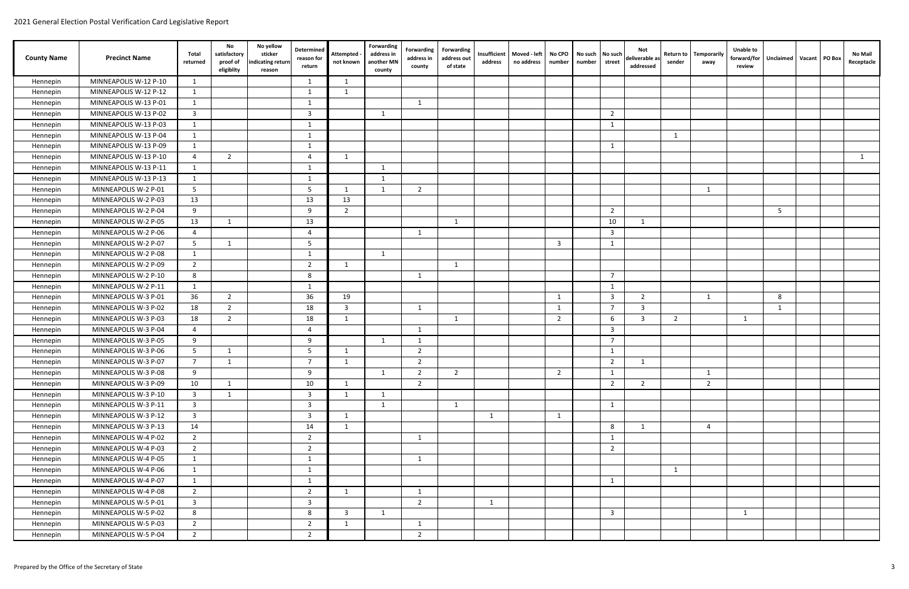| <b>County Name</b> | <b>Precinct Name</b>  | Total<br>returned       | No<br>satisfactory<br>proof of<br>eligiblity | No yellow<br>sticker<br>ndicating return<br>reason | Determined<br>reason for<br>return | Attempted<br>not known  | Forwarding<br>address in<br>another MN<br>county | Forwarding<br>address in<br>county | <b>Forwarding</b><br>address out<br>of state | Insufficient<br>address | Moved - left<br>no address | No CPO<br>number | No such   No such<br>number | street         | Not<br>deliverable as<br>addressed | <b>Return to</b><br>sender | Temporarily<br>away | Unable to<br>forward/for<br>review | Unclaimed   Vacant   PO Box |  | No Mail<br>Receptacle |
|--------------------|-----------------------|-------------------------|----------------------------------------------|----------------------------------------------------|------------------------------------|-------------------------|--------------------------------------------------|------------------------------------|----------------------------------------------|-------------------------|----------------------------|------------------|-----------------------------|----------------|------------------------------------|----------------------------|---------------------|------------------------------------|-----------------------------|--|-----------------------|
| Hennepin           | MINNEAPOLIS W-12 P-10 | 1                       |                                              |                                                    | $\mathbf{1}$                       | 1                       |                                                  |                                    |                                              |                         |                            |                  |                             |                |                                    |                            |                     |                                    |                             |  |                       |
| Hennepin           | MINNEAPOLIS W-12 P-12 | 1                       |                                              |                                                    | -1                                 | 1                       |                                                  |                                    |                                              |                         |                            |                  |                             |                |                                    |                            |                     |                                    |                             |  |                       |
| Hennepin           | MINNEAPOLIS W-13 P-01 | 1                       |                                              |                                                    | -1                                 |                         |                                                  | $\overline{1}$                     |                                              |                         |                            |                  |                             |                |                                    |                            |                     |                                    |                             |  |                       |
| Hennepin           | MINNEAPOLIS W-13 P-02 | $\overline{3}$          |                                              |                                                    | $\mathbf{3}$                       |                         | $\mathbf{1}$                                     |                                    |                                              |                         |                            |                  |                             | 2              |                                    |                            |                     |                                    |                             |  |                       |
| Hennepin           | MINNEAPOLIS W-13 P-03 | -1                      |                                              |                                                    | -1                                 |                         |                                                  |                                    |                                              |                         |                            |                  |                             | - 1            |                                    |                            |                     |                                    |                             |  |                       |
| Hennepin           | MINNEAPOLIS W-13 P-04 | $\overline{\mathbf{1}}$ |                                              |                                                    | -1                                 |                         |                                                  |                                    |                                              |                         |                            |                  |                             |                |                                    | -1                         |                     |                                    |                             |  |                       |
| Hennepin           | MINNEAPOLIS W-13 P-09 | -1                      |                                              |                                                    | -1                                 |                         |                                                  |                                    |                                              |                         |                            |                  |                             | -1             |                                    |                            |                     |                                    |                             |  |                       |
| Hennepin           | MINNEAPOLIS W-13 P-10 | $\overline{a}$          | 2                                            |                                                    | $\overline{4}$                     | $\mathbf{1}$            |                                                  |                                    |                                              |                         |                            |                  |                             |                |                                    |                            |                     |                                    |                             |  | -1                    |
| Hennepin           | MINNEAPOLIS W-13 P-11 | 1                       |                                              |                                                    | $\mathbf{1}$                       |                         |                                                  |                                    |                                              |                         |                            |                  |                             |                |                                    |                            |                     |                                    |                             |  |                       |
| Hennepin           | MINNEAPOLIS W-13 P-13 | 1                       |                                              |                                                    | 1                                  |                         | - 1                                              |                                    |                                              |                         |                            |                  |                             |                |                                    |                            |                     |                                    |                             |  |                       |
| Hennepin           | MINNEAPOLIS W-2 P-01  | 5                       |                                              |                                                    | 5                                  | $\overline{1}$          | - 1                                              | $\overline{2}$                     |                                              |                         |                            |                  |                             |                |                                    |                            | 1                   |                                    |                             |  |                       |
| Hennepin           | MINNEAPOLIS W-2 P-03  | 13                      |                                              |                                                    | 13                                 | 13                      |                                                  |                                    |                                              |                         |                            |                  |                             |                |                                    |                            |                     |                                    |                             |  |                       |
| Hennepin           | MINNEAPOLIS W-2 P-04  | 9                       |                                              |                                                    | 9                                  | $\overline{2}$          |                                                  |                                    |                                              |                         |                            |                  |                             | 2              |                                    |                            |                     |                                    | -5                          |  |                       |
| Hennepin           | MINNEAPOLIS W-2 P-05  | 13                      | 1                                            |                                                    | 13                                 |                         |                                                  |                                    | 1                                            |                         |                            |                  |                             | 10             | 1                                  |                            |                     |                                    |                             |  |                       |
| Hennepin           | MINNEAPOLIS W-2 P-06  | $\overline{a}$          |                                              |                                                    | $\boldsymbol{\Delta}$              |                         |                                                  | -1                                 |                                              |                         |                            |                  |                             | $\overline{3}$ |                                    |                            |                     |                                    |                             |  |                       |
| Hennepin           | MINNEAPOLIS W-2 P-07  | 5                       | 1                                            |                                                    | 5                                  |                         |                                                  |                                    |                                              |                         |                            | $\mathbf{3}$     |                             | $\overline{1}$ |                                    |                            |                     |                                    |                             |  |                       |
| Hennepin           | MINNEAPOLIS W-2 P-08  | $\overline{1}$          |                                              |                                                    | -1                                 |                         | - 1                                              |                                    |                                              |                         |                            |                  |                             |                |                                    |                            |                     |                                    |                             |  |                       |
| Hennepin           | MINNEAPOLIS W-2 P-09  | $\overline{2}$          |                                              |                                                    | $\overline{2}$                     | $\overline{\mathbf{1}}$ |                                                  |                                    | $\overline{1}$                               |                         |                            |                  |                             |                |                                    |                            |                     |                                    |                             |  |                       |
| Hennepin           | MINNEAPOLIS W-2 P-10  | 8                       |                                              |                                                    | 8                                  |                         |                                                  | -1                                 |                                              |                         |                            |                  |                             | 7              |                                    |                            |                     |                                    |                             |  |                       |
| Hennepin           | MINNEAPOLIS W-2 P-11  | 1                       |                                              |                                                    | -1                                 |                         |                                                  |                                    |                                              |                         |                            |                  |                             | $\overline{1}$ |                                    |                            |                     |                                    |                             |  |                       |
| Hennepin           | MINNEAPOLIS W-3 P-01  | 36                      | 2                                            |                                                    | 36                                 | 19                      |                                                  |                                    |                                              |                         |                            | 1                |                             | 3              | $\overline{2}$                     |                            |                     |                                    | 8                           |  |                       |
| Hennepin           | MINNEAPOLIS W-3 P-02  | 18                      | 2                                            |                                                    | 18                                 | $\overline{\mathbf{3}}$ |                                                  | $\mathbf{1}$                       |                                              |                         |                            | 1                |                             | $\overline{ }$ | 3                                  |                            |                     |                                    | 1                           |  |                       |
| Hennepin           | MINNEAPOLIS W-3 P-03  | 18                      | 2                                            |                                                    | 18                                 | 1                       |                                                  |                                    | $\overline{1}$                               |                         |                            | $\overline{2}$   |                             | -6             | $\mathbf{3}$                       | $\overline{2}$             |                     | 1                                  |                             |  |                       |
| Hennepin           | MINNEAPOLIS W-3 P-04  | 4                       |                                              |                                                    | 4                                  |                         |                                                  | -1                                 |                                              |                         |                            |                  |                             | 3              |                                    |                            |                     |                                    |                             |  |                       |
| Hennepin           | MINNEAPOLIS W-3 P-05  | 9                       |                                              |                                                    | 9                                  |                         | - 1                                              | -1                                 |                                              |                         |                            |                  |                             | 7              |                                    |                            |                     |                                    |                             |  |                       |
| Hennepin           | MINNEAPOLIS W-3 P-06  | 5                       |                                              |                                                    | -5                                 |                         |                                                  | 2                                  |                                              |                         |                            |                  |                             |                |                                    |                            |                     |                                    |                             |  |                       |
| Hennepin           | MINNEAPOLIS W-3 P-07  | $\overline{7}$          | -1                                           |                                                    | $\overline{7}$                     | -1                      |                                                  | $\overline{2}$                     |                                              |                         |                            |                  |                             | $\overline{2}$ | 1                                  |                            |                     |                                    |                             |  |                       |
| Hennepin           | MINNEAPOLIS W-3 P-08  | 9                       |                                              |                                                    | 9                                  |                         | $\mathbf{1}$                                     | $\overline{2}$                     | $\overline{2}$                               |                         |                            | $\overline{2}$   |                             | $\mathbf{1}$   |                                    |                            | $\mathbf{1}$        |                                    |                             |  |                       |
| Hennepin           | MINNEAPOLIS W-3 P-09  | 10                      | 1                                            |                                                    | 10                                 | $\overline{1}$          |                                                  | $\overline{2}$                     |                                              |                         |                            |                  |                             | $\overline{2}$ | $\overline{2}$                     |                            | $\overline{2}$      |                                    |                             |  |                       |
| Hennepin           | MINNEAPOLIS W-3 P-10  | $\overline{3}$          | 1                                            |                                                    | 3                                  | $\mathbf{1}$            | -1                                               |                                    |                                              |                         |                            |                  |                             |                |                                    |                            |                     |                                    |                             |  |                       |
| Hennepin           | MINNEAPOLIS W-3 P-11  | 3                       |                                              |                                                    | 3                                  |                         | -1                                               |                                    | 1                                            |                         |                            |                  |                             | $\overline{1}$ |                                    |                            |                     |                                    |                             |  |                       |
| Hennepin           | MINNEAPOLIS W-3 P-12  | $\overline{\mathbf{3}}$ |                                              |                                                    | 3                                  | $\overline{1}$          |                                                  |                                    |                                              | 1                       |                            | 1                |                             |                |                                    |                            |                     |                                    |                             |  |                       |
| Hennepin           | MINNEAPOLIS W-3 P-13  | 14                      |                                              |                                                    | 14                                 | 1                       |                                                  |                                    |                                              |                         |                            |                  |                             | 8              | $\mathbf{1}$                       |                            | $\overline{4}$      |                                    |                             |  |                       |
| Hennepin           | MINNEAPOLIS W-4 P-02  | $\overline{2}$          |                                              |                                                    | $\overline{2}$                     |                         |                                                  | 1                                  |                                              |                         |                            |                  |                             | $\overline{1}$ |                                    |                            |                     |                                    |                             |  |                       |
| Hennepin           | MINNEAPOLIS W-4 P-03  | $\overline{2}$          |                                              |                                                    | $\overline{2}$                     |                         |                                                  |                                    |                                              |                         |                            |                  |                             | $\overline{2}$ |                                    |                            |                     |                                    |                             |  |                       |
| Hennepin           | MINNEAPOLIS W-4 P-05  | 1                       |                                              |                                                    | $\mathbf{1}$                       |                         |                                                  | 1                                  |                                              |                         |                            |                  |                             |                |                                    |                            |                     |                                    |                             |  |                       |
| Hennepin           | MINNEAPOLIS W-4 P-06  | $\overline{1}$          |                                              |                                                    | -1                                 |                         |                                                  |                                    |                                              |                         |                            |                  |                             |                |                                    | 1                          |                     |                                    |                             |  |                       |
| Hennepin           | MINNEAPOLIS W-4 P-07  | -1                      |                                              |                                                    | 1                                  |                         |                                                  |                                    |                                              |                         |                            |                  |                             | -1             |                                    |                            |                     |                                    |                             |  |                       |
| Hennepin           | MINNEAPOLIS W-4 P-08  | $\overline{2}$          |                                              |                                                    | $\overline{2}$                     | 1                       |                                                  | 1                                  |                                              |                         |                            |                  |                             |                |                                    |                            |                     |                                    |                             |  |                       |
| Hennepin           | MINNEAPOLIS W-5 P-01  | $\overline{3}$          |                                              |                                                    | 3                                  |                         |                                                  | $\overline{2}$                     |                                              | $\mathbf{1}$            |                            |                  |                             |                |                                    |                            |                     |                                    |                             |  |                       |
| Hennepin           | MINNEAPOLIS W-5 P-02  | 8                       |                                              |                                                    | 8                                  | $\overline{\mathbf{3}}$ | $\overline{1}$                                   |                                    |                                              |                         |                            |                  |                             | $\overline{3}$ |                                    |                            |                     | 1                                  |                             |  |                       |
| Hennepin           | MINNEAPOLIS W-5 P-03  | $\overline{2}$          |                                              |                                                    | 2                                  | 1                       |                                                  | 1                                  |                                              |                         |                            |                  |                             |                |                                    |                            |                     |                                    |                             |  |                       |
| Hennepin           | MINNEAPOLIS W-5 P-04  | $\overline{2}$          |                                              |                                                    | $\overline{2}$                     |                         |                                                  | 2                                  |                                              |                         |                            |                  |                             |                |                                    |                            |                     |                                    |                             |  |                       |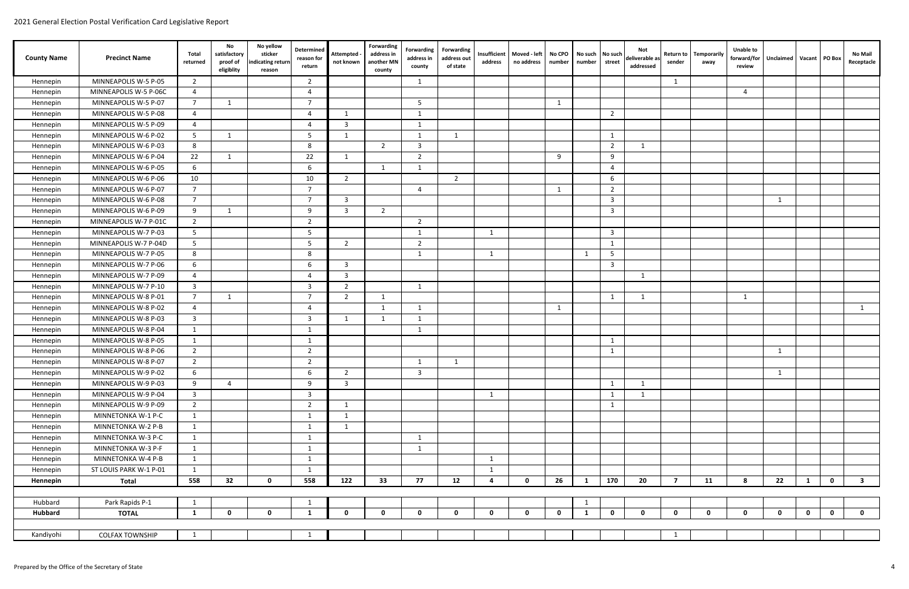| <b>County Name</b> | <b>Precinct Name</b>   | Total<br>returned       | No<br>satisfactory<br>proof of<br>eligiblity | No yellow<br>sticker<br>ndicating return<br>reason | Determined<br>reason for<br>return | Attempted<br>not known | Forwarding<br>address in<br>another MN<br>county | Forwarding<br>address in<br>county | <b>Forwarding</b><br>address out<br>of state | Insufficient<br>address | Moved - left<br>no address | No CPO<br>number | number       | No such   No such<br>street | Not<br>deliverable as<br>addressed | Return to<br>sender | Temporarily<br>away | <b>Unable to</b><br>forward/for<br>review | Unclaimed   Vacant   PO Box |              | No Mail<br>Receptacle   |
|--------------------|------------------------|-------------------------|----------------------------------------------|----------------------------------------------------|------------------------------------|------------------------|--------------------------------------------------|------------------------------------|----------------------------------------------|-------------------------|----------------------------|------------------|--------------|-----------------------------|------------------------------------|---------------------|---------------------|-------------------------------------------|-----------------------------|--------------|-------------------------|
| Hennepin           | MINNEAPOLIS W-5 P-05   | $\overline{2}$          |                                              |                                                    | $\overline{2}$                     |                        |                                                  | $\mathbf{1}$                       |                                              |                         |                            |                  |              |                             |                                    | 1                   |                     |                                           |                             |              |                         |
| Hennepin           | MINNEAPOLIS W-5 P-06C  | 4                       |                                              |                                                    | $\overline{a}$                     |                        |                                                  |                                    |                                              |                         |                            |                  |              |                             |                                    |                     |                     | $\overline{4}$                            |                             |              |                         |
| Hennepin           | MINNEAPOLIS W-5 P-07   | $\overline{7}$          | 1                                            |                                                    | $\overline{7}$                     |                        |                                                  | 5                                  |                                              |                         |                            | 1                |              |                             |                                    |                     |                     |                                           |                             |              |                         |
| Hennepin           | MINNEAPOLIS W-5 P-08   | 4                       |                                              |                                                    | $\boldsymbol{\Delta}$              | - 1                    |                                                  | 1                                  |                                              |                         |                            |                  |              | $\overline{2}$              |                                    |                     |                     |                                           |                             |              |                         |
| Hennepin           | MINNEAPOLIS W-5 P-09   | 4                       |                                              |                                                    | $\boldsymbol{\Delta}$              | $\overline{3}$         |                                                  | -1                                 |                                              |                         |                            |                  |              |                             |                                    |                     |                     |                                           |                             |              |                         |
| Hennepin           | MINNEAPOLIS W-6 P-02   | 5                       | 1                                            |                                                    | -5                                 | 1                      |                                                  | 1                                  | 1                                            |                         |                            |                  |              | -1                          |                                    |                     |                     |                                           |                             |              |                         |
| Hennepin           | MINNEAPOLIS W-6 P-03   | 8                       |                                              |                                                    | 8                                  |                        | $\overline{2}$                                   | 3                                  |                                              |                         |                            |                  |              | $\overline{2}$              | $\mathbf{1}$                       |                     |                     |                                           |                             |              |                         |
| Hennepin           | MINNEAPOLIS W-6 P-04   | 22                      | $\overline{1}$                               |                                                    | 22                                 | 1                      |                                                  | $\overline{2}$                     |                                              |                         |                            | 9                |              | $\mathbf{q}$                |                                    |                     |                     |                                           |                             |              |                         |
| Hennepin           | MINNEAPOLIS W-6 P-05   | 6                       |                                              |                                                    | 6                                  |                        | $\overline{1}$                                   | $\mathbf{1}$                       |                                              |                         |                            |                  |              | $\overline{4}$              |                                    |                     |                     |                                           |                             |              |                         |
| Hennepin           | MINNEAPOLIS W-6 P-06   | 10                      |                                              |                                                    | 10                                 | $\overline{2}$         |                                                  |                                    | $\overline{2}$                               |                         |                            |                  |              | -6                          |                                    |                     |                     |                                           |                             |              |                         |
| Hennepin           | MINNEAPOLIS W-6 P-07   | $\overline{7}$          |                                              |                                                    | $\overline{7}$                     |                        |                                                  | $\overline{4}$                     |                                              |                         |                            | $\mathbf{1}$     |              | 2                           |                                    |                     |                     |                                           |                             |              |                         |
| Hennepin           | MINNEAPOLIS W-6 P-08   | $\overline{7}$          |                                              |                                                    | - 7                                | 3                      |                                                  |                                    |                                              |                         |                            |                  |              | $\overline{\mathbf{3}}$     |                                    |                     |                     |                                           |                             |              |                         |
| Hennepin           | MINNEAPOLIS W-6 P-09   | 9                       | -1                                           |                                                    | 9                                  | $\overline{3}$         | 2                                                |                                    |                                              |                         |                            |                  |              | $\overline{\mathbf{3}}$     |                                    |                     |                     |                                           |                             |              |                         |
| Hennepin           | MINNEAPOLIS W-7 P-01C  | $\overline{2}$          |                                              |                                                    | $\overline{2}$                     |                        |                                                  | $\overline{2}$                     |                                              |                         |                            |                  |              |                             |                                    |                     |                     |                                           |                             |              |                         |
| Hennepin           | MINNEAPOLIS W-7 P-03   | 5                       |                                              |                                                    | 5                                  |                        |                                                  | $\mathbf{1}$                       |                                              | $\mathbf{1}$            |                            |                  |              | $\overline{3}$              |                                    |                     |                     |                                           |                             |              |                         |
| Hennepin           | MINNEAPOLIS W-7 P-04D  | 5                       |                                              |                                                    | -5                                 | 2                      |                                                  | $\overline{2}$                     |                                              |                         |                            |                  |              | 1                           |                                    |                     |                     |                                           |                             |              |                         |
| Hennepin           | MINNEAPOLIS W-7 P-05   | 8                       |                                              |                                                    | 8                                  |                        |                                                  | 1                                  |                                              | 1                       |                            |                  | -1           | .5                          |                                    |                     |                     |                                           |                             |              |                         |
| Hennepin           | MINNEAPOLIS W-7 P-06   | 6                       |                                              |                                                    | 6                                  | $\overline{3}$         |                                                  |                                    |                                              |                         |                            |                  |              | $\overline{3}$              |                                    |                     |                     |                                           |                             |              |                         |
| Hennepin           | MINNEAPOLIS W-7 P-09   | 4                       |                                              |                                                    | $\overline{4}$                     | $\overline{3}$         |                                                  |                                    |                                              |                         |                            |                  |              |                             | $\mathbf{1}$                       |                     |                     |                                           |                             |              |                         |
| Hennepin           | MINNEAPOLIS W-7 P-10   | $\overline{\mathbf{3}}$ |                                              |                                                    | $\overline{3}$                     | $\overline{2}$         |                                                  | 1                                  |                                              |                         |                            |                  |              |                             |                                    |                     |                     |                                           |                             |              |                         |
| Hennepin           | MINNEAPOLIS W-8 P-01   | $\overline{7}$          | $\mathbf{1}$                                 |                                                    | $\overline{7}$                     | $\overline{2}$         | $\overline{1}$                                   |                                    |                                              |                         |                            |                  |              | $\mathbf{1}$                | $\mathbf{1}$                       |                     |                     | $\overline{1}$                            |                             |              |                         |
| Hennepin           | MINNEAPOLIS W-8 P-02   | $\overline{4}$          |                                              |                                                    | $\overline{4}$                     |                        | -1                                               | $\mathbf{1}$                       |                                              |                         |                            | 1                |              |                             |                                    |                     |                     |                                           |                             |              | 1                       |
| Hennepin           | MINNEAPOLIS W-8 P-03   | $\overline{\mathbf{3}}$ |                                              |                                                    | -3                                 | - 1                    | - 1                                              | -1                                 |                                              |                         |                            |                  |              |                             |                                    |                     |                     |                                           |                             |              |                         |
| Hennepin           | MINNEAPOLIS W-8 P-04   | -1                      |                                              |                                                    | -1                                 |                        |                                                  | 1                                  |                                              |                         |                            |                  |              |                             |                                    |                     |                     |                                           |                             |              |                         |
| Hennepin           | MINNEAPOLIS W-8 P-05   | 1                       |                                              |                                                    | -1                                 |                        |                                                  |                                    |                                              |                         |                            |                  |              | -1                          |                                    |                     |                     |                                           |                             |              |                         |
| Hennepin           | MINNEAPOLIS W-8 P-06   | $\overline{2}$          |                                              |                                                    | $\overline{2}$                     |                        |                                                  |                                    |                                              |                         |                            |                  |              | -1                          |                                    |                     |                     |                                           |                             |              |                         |
| Hennepin           | MINNEAPOLIS W-8 P-07   | $\overline{2}$          |                                              |                                                    | $\overline{2}$                     |                        |                                                  | $\mathbf{1}$                       | 1                                            |                         |                            |                  |              |                             |                                    |                     |                     |                                           |                             |              |                         |
| Hennepin           | MINNEAPOLIS W-9 P-02   | $6\overline{6}$         |                                              |                                                    | 6                                  | $\overline{2}$         |                                                  | $\mathbf{3}$                       |                                              |                         |                            |                  |              |                             |                                    |                     |                     |                                           | $\mathbf{1}$                |              |                         |
| Hennepin           | MINNEAPOLIS W-9 P-03   | 9                       | $\overline{4}$                               |                                                    | 9                                  | $\overline{3}$         |                                                  |                                    |                                              |                         |                            |                  |              | 1                           | 1                                  |                     |                     |                                           |                             |              |                         |
| Hennepin           | MINNEAPOLIS W-9 P-04   | $\overline{3}$          |                                              |                                                    | 3                                  |                        |                                                  |                                    |                                              | $\mathbf{1}$            |                            |                  |              | -1                          | $\mathbf{1}$                       |                     |                     |                                           |                             |              |                         |
| Hennepin           | MINNEAPOLIS W-9 P-09   | $\overline{2}$          |                                              |                                                    | $\overline{2}$                     | 1                      |                                                  |                                    |                                              |                         |                            |                  |              | -1                          |                                    |                     |                     |                                           |                             |              |                         |
| Hennepin           | MINNETONKA W-1 P-C     | 1                       |                                              |                                                    | -1                                 | 1                      |                                                  |                                    |                                              |                         |                            |                  |              |                             |                                    |                     |                     |                                           |                             |              |                         |
| Hennepin           | MINNETONKA W-2 P-B     | $\mathbf{1}$            |                                              |                                                    | -1                                 | 1                      |                                                  |                                    |                                              |                         |                            |                  |              |                             |                                    |                     |                     |                                           |                             |              |                         |
| Hennepin           | MINNETONKA W-3 P-C     | 1                       |                                              |                                                    | 1                                  |                        |                                                  | $\mathbf{1}$                       |                                              |                         |                            |                  |              |                             |                                    |                     |                     |                                           |                             |              |                         |
| Hennepin           | MINNETONKA W-3 P-F     | 1                       |                                              |                                                    | 1                                  |                        |                                                  | 1                                  |                                              |                         |                            |                  |              |                             |                                    |                     |                     |                                           |                             |              |                         |
| Hennepin           | MINNETONKA W-4 P-B     | 1                       |                                              |                                                    | -1                                 |                        |                                                  |                                    |                                              | 1                       |                            |                  |              |                             |                                    |                     |                     |                                           |                             |              |                         |
| Hennepin           | ST LOUIS PARK W-1 P-01 | $\mathbf{1}$            |                                              |                                                    | 1                                  |                        |                                                  |                                    |                                              | 1                       |                            |                  |              |                             |                                    |                     |                     |                                           |                             |              |                         |
| Hennepin           | <b>Total</b>           | 558                     | 32                                           | $\mathbf 0$                                        | 558                                | 122                    | 33                                               | 77                                 | 12                                           | $\overline{\mathbf{4}}$ | $\mathbf 0$                | 26               | $\mathbf{1}$ | 170                         | 20                                 | $\overline{7}$      | 11                  | 8                                         | 22<br>$\mathbf{1}$          | $\mathbf 0$  | $\overline{\mathbf{3}}$ |
|                    |                        |                         |                                              |                                                    |                                    |                        |                                                  |                                    |                                              |                         |                            |                  |              |                             |                                    |                     |                     |                                           |                             |              |                         |
| Hubbard            | Park Rapids P-1        | 1                       |                                              |                                                    | 1                                  |                        |                                                  |                                    |                                              |                         |                            |                  | 1            |                             |                                    |                     |                     |                                           |                             |              |                         |
| <b>Hubbard</b>     | <b>TOTAL</b>           | 1                       | $\mathbf 0$                                  | $\mathbf{0}$                                       | 1                                  | $\mathbf{0}$           | $\mathbf{0}$                                     | $\mathbf{0}$                       | $\mathbf 0$                                  | $\mathbf{0}$            | $\mathbf 0$                | $\mathbf 0$      | 1            | $\mathbf{0}$                | $\mathbf 0$                        | $\mathbf{0}$        | $\mathbf{0}$        | $\mathbf{0}$                              | $\mathbf 0$<br>$\mathbf 0$  | $\mathbf{0}$ | $\mathbf 0$             |
|                    |                        |                         |                                              |                                                    |                                    |                        |                                                  |                                    |                                              |                         |                            |                  |              |                             |                                    |                     |                     |                                           |                             |              |                         |
| Kandiyohi          | <b>COLFAX TOWNSHIP</b> | 1                       |                                              |                                                    | 1                                  |                        |                                                  |                                    |                                              |                         |                            |                  |              |                             |                                    | 1                   |                     |                                           |                             |              |                         |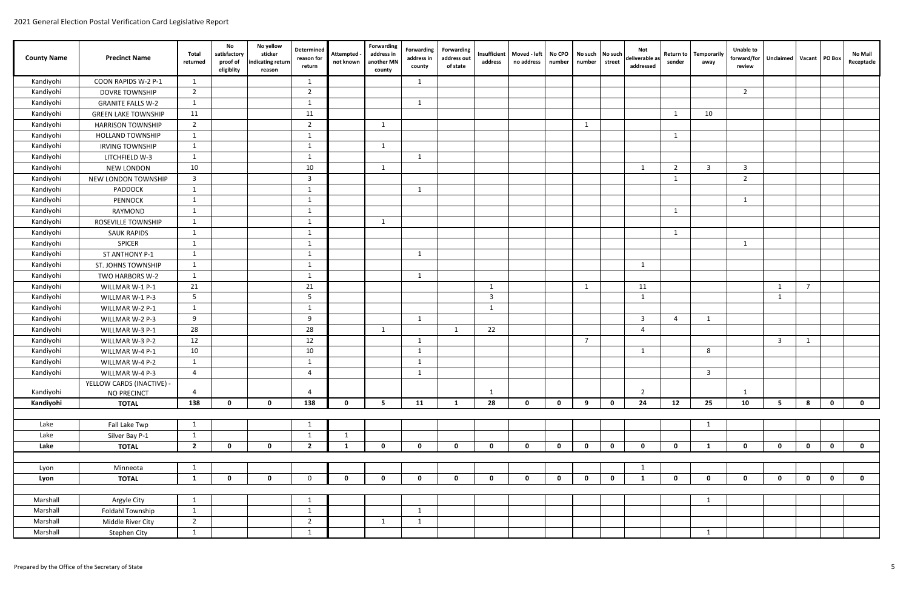| <b>County Name</b> | <b>Precinct Name</b>       | Total<br>returned | No<br>satisfactory<br>proof of<br>eligiblity | No yellow<br>sticker<br>indicating return<br>reason | Determined<br>reason for<br>return | <b>Attempted</b><br>not known | Forwarding<br>address in<br>another MN<br>county | Forwarding<br>address in<br>county | Forwarding<br>address out<br>of state | Insufficient<br>address | Moved - left<br>no address | No CPO<br>number | No such<br>number | No such<br>street | Not<br>deliverable as<br>addressed | <b>Return to</b><br>sender | <b>Temporarily</b><br>away | <b>Unable to</b><br>forward/for<br>review | Unclaimed   Vacant   PO Box |                |             | <b>No Mail</b><br>Receptacle |
|--------------------|----------------------------|-------------------|----------------------------------------------|-----------------------------------------------------|------------------------------------|-------------------------------|--------------------------------------------------|------------------------------------|---------------------------------------|-------------------------|----------------------------|------------------|-------------------|-------------------|------------------------------------|----------------------------|----------------------------|-------------------------------------------|-----------------------------|----------------|-------------|------------------------------|
| Kandiyohi          | COON RAPIDS W-2 P-1        | - 1               |                                              |                                                     | $\mathbf{1}$                       |                               |                                                  | 1                                  |                                       |                         |                            |                  |                   |                   |                                    |                            |                            |                                           |                             |                |             |                              |
| Kandiyohi          | <b>DOVRE TOWNSHIP</b>      | $\overline{2}$    |                                              |                                                     | $\overline{2}$                     |                               |                                                  |                                    |                                       |                         |                            |                  |                   |                   |                                    |                            |                            | $\overline{2}$                            |                             |                |             |                              |
| Kandiyohi          | <b>GRANITE FALLS W-2</b>   | -1                |                                              |                                                     | $\mathbf{1}$                       |                               |                                                  | 1                                  |                                       |                         |                            |                  |                   |                   |                                    |                            |                            |                                           |                             |                |             |                              |
| Kandiyohi          | <b>GREEN LAKE TOWNSHIP</b> | 11                |                                              |                                                     | 11                                 |                               |                                                  |                                    |                                       |                         |                            |                  |                   |                   |                                    | 1                          | 10                         |                                           |                             |                |             |                              |
| Kandiyohi          | <b>HARRISON TOWNSHIP</b>   | 2                 |                                              |                                                     | $\overline{2}$                     |                               | -1                                               |                                    |                                       |                         |                            |                  | 1                 |                   |                                    |                            |                            |                                           |                             |                |             |                              |
| Kandiyohi          | <b>HOLLAND TOWNSHIP</b>    | - 1               |                                              |                                                     | $\overline{\mathbf{1}}$            |                               |                                                  |                                    |                                       |                         |                            |                  |                   |                   |                                    | 1                          |                            |                                           |                             |                |             |                              |
| Kandiyohi          | <b>IRVING TOWNSHIP</b>     | -1                |                                              |                                                     | - 1                                |                               | -1                                               |                                    |                                       |                         |                            |                  |                   |                   |                                    |                            |                            |                                           |                             |                |             |                              |
| Kandiyohi          | LITCHFIELD W-3             | - 1               |                                              |                                                     | - 1                                |                               |                                                  | -1                                 |                                       |                         |                            |                  |                   |                   |                                    |                            |                            |                                           |                             |                |             |                              |
| Kandiyohi          | <b>NEW LONDON</b>          | 10                |                                              |                                                     | 10                                 |                               | $\overline{1}$                                   |                                    |                                       |                         |                            |                  |                   |                   | 1                                  | $\overline{2}$             | $\overline{3}$             | $\overline{3}$                            |                             |                |             |                              |
| Kandiyohi          | NEW LONDON TOWNSHIP        | 3                 |                                              |                                                     | $\overline{\mathbf{3}}$            |                               |                                                  |                                    |                                       |                         |                            |                  |                   |                   |                                    | 1                          |                            | $\overline{2}$                            |                             |                |             |                              |
| Kandiyohi          | PADDOCK                    | 1                 |                                              |                                                     | 1                                  |                               |                                                  | 1                                  |                                       |                         |                            |                  |                   |                   |                                    |                            |                            |                                           |                             |                |             |                              |
| Kandiyohi          | <b>PENNOCK</b>             | -1                |                                              |                                                     | -1                                 |                               |                                                  |                                    |                                       |                         |                            |                  |                   |                   |                                    |                            |                            | $\overline{1}$                            |                             |                |             |                              |
| Kandiyohi          | RAYMOND                    | $\overline{1}$    |                                              |                                                     | $\overline{1}$                     |                               |                                                  |                                    |                                       |                         |                            |                  |                   |                   |                                    | 1                          |                            |                                           |                             |                |             |                              |
| Kandiyohi          | ROSEVILLE TOWNSHIP         | -1                |                                              |                                                     | - 1                                |                               | -1                                               |                                    |                                       |                         |                            |                  |                   |                   |                                    |                            |                            |                                           |                             |                |             |                              |
| Kandiyohi          | <b>SAUK RAPIDS</b>         | -1                |                                              |                                                     | $\overline{1}$                     |                               |                                                  |                                    |                                       |                         |                            |                  |                   |                   |                                    | 1                          |                            |                                           |                             |                |             |                              |
| Kandiyohi          | <b>SPICER</b>              | -1                |                                              |                                                     | -1                                 |                               |                                                  |                                    |                                       |                         |                            |                  |                   |                   |                                    |                            |                            | -1                                        |                             |                |             |                              |
| Kandiyohi          | ST ANTHONY P-1             | -1                |                                              |                                                     | -1                                 |                               |                                                  | -1                                 |                                       |                         |                            |                  |                   |                   |                                    |                            |                            |                                           |                             |                |             |                              |
| Kandiyohi          | ST. JOHNS TOWNSHIP         | - 1               |                                              |                                                     | -1                                 |                               |                                                  |                                    |                                       |                         |                            |                  |                   |                   | $\mathbf{1}$                       |                            |                            |                                           |                             |                |             |                              |
| Kandiyohi          | TWO HARBORS W-2            | -1                |                                              |                                                     | $\mathbf{1}$                       |                               |                                                  | 1                                  |                                       |                         |                            |                  |                   |                   |                                    |                            |                            |                                           |                             |                |             |                              |
| Kandiyohi          | WILLMAR W-1 P-1            | 21                |                                              |                                                     | 21                                 |                               |                                                  |                                    |                                       | 1                       |                            |                  | 1                 |                   | 11                                 |                            |                            |                                           | 1                           | $\overline{7}$ |             |                              |
| Kandiyohi          | WILLMAR W-1 P-3            | -5                |                                              |                                                     | 5                                  |                               |                                                  |                                    |                                       | $\overline{\mathbf{3}}$ |                            |                  |                   |                   | 1                                  |                            |                            |                                           | $\mathbf{1}$                |                |             |                              |
| Kandiyohi          | WILLMAR W-2 P-1            | -1                |                                              |                                                     | $\overline{1}$                     |                               |                                                  |                                    |                                       | 1                       |                            |                  |                   |                   |                                    |                            |                            |                                           |                             |                |             |                              |
| Kandiyohi          | WILLMAR W-2 P-3            | 9                 |                                              |                                                     | 9                                  |                               |                                                  | 1                                  |                                       |                         |                            |                  |                   |                   | $\mathbf{3}$                       | $\overline{4}$             | 1                          |                                           |                             |                |             |                              |
| Kandiyohi          | WILLMAR W-3 P-1            | 28                |                                              |                                                     | 28                                 |                               | 1                                                |                                    | $\overline{1}$                        | 22                      |                            |                  |                   |                   | 4                                  |                            |                            |                                           |                             |                |             |                              |
| Kandiyohi          | WILLMAR W-3 P-2            | 12                |                                              |                                                     | 12                                 |                               |                                                  | 1                                  |                                       |                         |                            |                  | $\overline{7}$    |                   |                                    |                            |                            |                                           | $\overline{\mathbf{3}}$     | 1              |             |                              |
| Kandiyohi          | WILLMAR W-4 P-1            | 10                |                                              |                                                     | 10                                 |                               |                                                  | -1                                 |                                       |                         |                            |                  |                   |                   | 1                                  |                            | 8                          |                                           |                             |                |             |                              |
| Kandiyohi          | WILLMAR W-4 P-2            | -1                |                                              |                                                     | - 1                                |                               |                                                  | 1                                  |                                       |                         |                            |                  |                   |                   |                                    |                            |                            |                                           |                             |                |             |                              |
| Kandiyohi          | WILLMAR W-4 P-3            | $\overline{4}$    |                                              |                                                     | 4                                  |                               |                                                  | $\mathbf{1}$                       |                                       |                         |                            |                  |                   |                   |                                    |                            | $\overline{\mathbf{3}}$    |                                           |                             |                |             |                              |
|                    | YELLOW CARDS (INACTIVE) -  |                   |                                              |                                                     |                                    |                               |                                                  |                                    |                                       |                         |                            |                  |                   |                   |                                    |                            |                            |                                           |                             |                |             |                              |
| Kandiyohi          | NO PRECINCT                | $\overline{4}$    |                                              |                                                     | $\overline{4}$                     |                               |                                                  |                                    |                                       | 1                       |                            |                  |                   |                   | $\overline{2}$                     |                            |                            | 1                                         |                             |                |             |                              |
| Kandiyohi          | <b>TOTAL</b>               | 138               | $\mathbf 0$                                  | $\mathbf 0$                                         | 138                                | $\mathbf 0$                   | 5 <sup>1</sup>                                   | 11                                 | 1                                     | 28                      | $\mathbf 0$                | $\mathbf 0$      | 9                 | $\mathbf 0$       | 24                                 | 12                         | 25                         | 10                                        | 5                           | 8              | $\mathbf 0$ | $\mathbf{0}$                 |
| Lake               | Fall Lake Twp              | -1                |                                              |                                                     | - 1                                |                               |                                                  |                                    |                                       |                         |                            |                  |                   |                   |                                    |                            | $\mathbf{1}$               |                                           |                             |                |             |                              |
| Lake               | Silver Bay P-1             | 1                 |                                              |                                                     | $\mathbf{1}$                       | $\mathbf{1}$                  |                                                  |                                    |                                       |                         |                            |                  |                   |                   |                                    |                            |                            |                                           |                             |                |             |                              |
| Lake               | <b>TOTAL</b>               | $\overline{2}$    | $\mathbf{0}$                                 | $\mathbf 0$                                         | $\overline{2}$                     | 1                             | $\mathbf{0}$                                     | $\mathbf{0}$                       | $\mathbf 0$                           | $\mathbf 0$             | $\mathbf 0$                | $\mathbf 0$      | $\mathbf 0$       | $\mathbf 0$       | $\mathbf 0$                        | $\mathbf 0$                | $\mathbf{1}$               | $\mathbf{0}$                              | $\mathbf{0}$                | $\mathbf 0$    | $\mathbf 0$ | $\mathbf{0}$                 |
|                    |                            |                   |                                              |                                                     |                                    |                               |                                                  |                                    |                                       |                         |                            |                  |                   |                   |                                    |                            |                            |                                           |                             |                |             |                              |
| Lyon               | Minneota                   | $\mathbf{1}$      |                                              |                                                     |                                    |                               |                                                  |                                    |                                       |                         |                            |                  |                   |                   | $\mathbf{1}$                       |                            |                            |                                           |                             |                |             |                              |
| Lyon               | <b>TOTAL</b>               | $\mathbf{1}$      | $\mathbf 0$                                  | $\mathbf 0$                                         | $\mathbf 0$                        | $\mathbf 0$                   | $\mathbf{0}$                                     | $\mathbf 0$                        | $\mathbf 0$                           | $\mathbf 0$             | $\mathbf 0$                | $\mathbf 0$      | $\mathbf{0}$      | $\mathbf 0$       | $\mathbf{1}$                       | $\mathbf 0$                | $\mathbf 0$                | $\mathbf 0$                               | $\mathbf{0}$                | $\mathbf 0$    | $\mathbf 0$ | $\overline{0}$               |
|                    |                            |                   |                                              |                                                     |                                    |                               |                                                  |                                    |                                       |                         |                            |                  |                   |                   |                                    |                            |                            |                                           |                             |                |             |                              |
| Marshall           | Argyle City                | $\mathbf{1}$      |                                              |                                                     | $\mathbf{1}$                       |                               |                                                  |                                    |                                       |                         |                            |                  |                   |                   |                                    |                            | $\mathbf{1}$               |                                           |                             |                |             |                              |
| Marshall           | Foldahl Township           | 1                 |                                              |                                                     | 1                                  |                               |                                                  | 1                                  |                                       |                         |                            |                  |                   |                   |                                    |                            |                            |                                           |                             |                |             |                              |
| Marshall           | Middle River City          | $\overline{2}$    |                                              |                                                     | $\overline{2}$                     |                               | 1                                                | 1                                  |                                       |                         |                            |                  |                   |                   |                                    |                            |                            |                                           |                             |                |             |                              |
| Marshall           | Stephen City               | 1                 |                                              |                                                     | $\mathbf{1}$                       |                               |                                                  |                                    |                                       |                         |                            |                  |                   |                   |                                    |                            | $\mathbf{1}$               |                                           |                             |                |             |                              |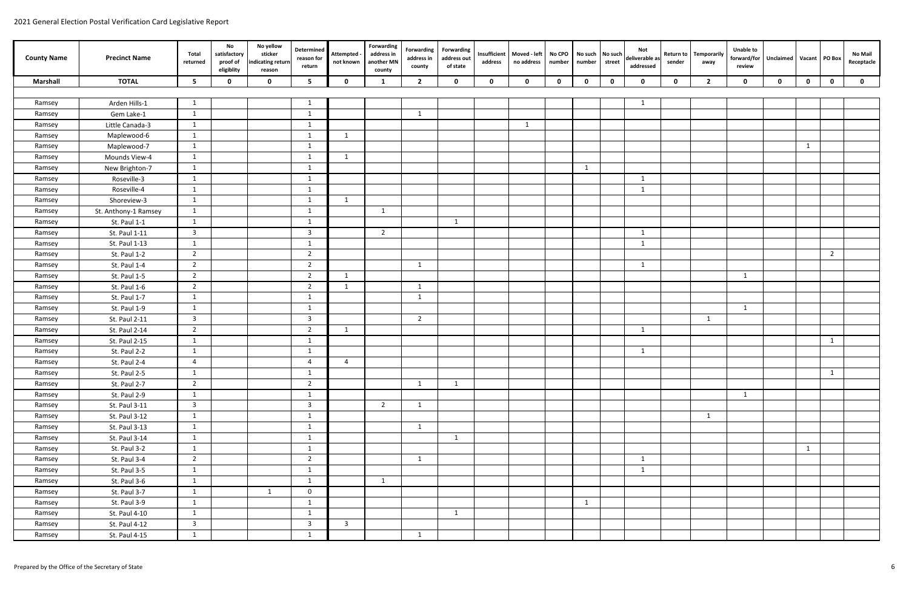| <b>County Name</b> | <b>Precinct Name</b> | Total<br>returned       | No<br>satisfactory<br>proof of<br>eligiblity | No yellow<br>sticker<br>indicating return<br>reason | Determined<br>reason for<br>return | Attempted -<br>not known | Forwarding<br>address in<br>another MN<br>county | Forwarding<br>address in<br>county | <b>Forwarding</b><br>address out<br>of state | Insufficient<br>address | Moved - left<br>no address | No CPO<br>number | number      | No such No such<br>street | Not<br>deliverable as<br>addressed | <b>Return to</b><br>sender | Temporarily<br>away | <b>Unable to</b><br>forward/for<br>review | Unclaimed Vacant   PO Box |             |                | <b>No Mail</b><br>Receptacle |
|--------------------|----------------------|-------------------------|----------------------------------------------|-----------------------------------------------------|------------------------------------|--------------------------|--------------------------------------------------|------------------------------------|----------------------------------------------|-------------------------|----------------------------|------------------|-------------|---------------------------|------------------------------------|----------------------------|---------------------|-------------------------------------------|---------------------------|-------------|----------------|------------------------------|
| <b>Marshall</b>    | <b>TOTAL</b>         | - 5                     | $\mathbf{0}$                                 | $\mathbf 0$                                         | 5                                  | $\mathbf{0}$             | 1                                                | $\overline{2}$                     | $\mathbf 0$                                  | $\mathbf 0$             | $\mathbf 0$                | $\mathbf 0$      | $\mathbf 0$ | $\mathbf 0$               | $\mathbf 0$                        | $\mathbf 0$                | $\overline{2}$      | $\mathbf 0$                               | $\mathbf 0$               | $\mathbf 0$ | $\mathbf 0$    | $\mathbf 0$                  |
|                    |                      |                         |                                              |                                                     |                                    |                          |                                                  |                                    |                                              |                         |                            |                  |             |                           |                                    |                            |                     |                                           |                           |             |                |                              |
| Ramsey             | Arden Hills-1        | 1                       |                                              |                                                     | -1                                 |                          |                                                  |                                    |                                              |                         |                            |                  |             |                           | $\mathbf{1}$                       |                            |                     |                                           |                           |             |                |                              |
| Ramsey             | Gem Lake-1           | 1                       |                                              |                                                     | -1                                 |                          |                                                  | 1                                  |                                              |                         |                            |                  |             |                           |                                    |                            |                     |                                           |                           |             |                |                              |
| Ramsey             | Little Canada-3      | 1                       |                                              |                                                     | 1                                  |                          |                                                  |                                    |                                              |                         | $\mathbf{1}$               |                  |             |                           |                                    |                            |                     |                                           |                           |             |                |                              |
| Ramsey             | Maplewood-6          | 1                       |                                              |                                                     | 1                                  | 1                        |                                                  |                                    |                                              |                         |                            |                  |             |                           |                                    |                            |                     |                                           |                           |             |                |                              |
| Ramsey             | Maplewood-7          | 1                       |                                              |                                                     | 1                                  |                          |                                                  |                                    |                                              |                         |                            |                  |             |                           |                                    |                            |                     |                                           |                           | 1           |                |                              |
| Ramsey             | Mounds View-4        | 1                       |                                              |                                                     | -1                                 | -1                       |                                                  |                                    |                                              |                         |                            |                  |             |                           |                                    |                            |                     |                                           |                           |             |                |                              |
| Ramsey             | New Brighton-7       | 1                       |                                              |                                                     | -1                                 |                          |                                                  |                                    |                                              |                         |                            |                  | 1           |                           |                                    |                            |                     |                                           |                           |             |                |                              |
| Ramsey             | Roseville-3          | 1                       |                                              |                                                     | 1                                  |                          |                                                  |                                    |                                              |                         |                            |                  |             |                           | $\mathbf{1}$                       |                            |                     |                                           |                           |             |                |                              |
| Ramsey             | Roseville-4          | 1                       |                                              |                                                     | 1                                  |                          |                                                  |                                    |                                              |                         |                            |                  |             |                           | $\mathbf{1}$                       |                            |                     |                                           |                           |             |                |                              |
| Ramsey             | Shoreview-3          | 1                       |                                              |                                                     | 1                                  | $\overline{1}$           |                                                  |                                    |                                              |                         |                            |                  |             |                           |                                    |                            |                     |                                           |                           |             |                |                              |
| Ramsey             | St. Anthony-1 Ramsey | 1                       |                                              |                                                     | $\mathbf{1}$                       |                          | - 1                                              |                                    |                                              |                         |                            |                  |             |                           |                                    |                            |                     |                                           |                           |             |                |                              |
| Ramsey             | St. Paul 1-1         | 1                       |                                              |                                                     | -1                                 |                          |                                                  |                                    | 1                                            |                         |                            |                  |             |                           |                                    |                            |                     |                                           |                           |             |                |                              |
| Ramsey             | St. Paul 1-11        | $\overline{\mathbf{3}}$ |                                              |                                                     | $\overline{\mathbf{3}}$            |                          | $\overline{2}$                                   |                                    |                                              |                         |                            |                  |             |                           | -1                                 |                            |                     |                                           |                           |             |                |                              |
| Ramsey             | St. Paul 1-13        | 1                       |                                              |                                                     | -1                                 |                          |                                                  |                                    |                                              |                         |                            |                  |             |                           | $\mathbf{1}$                       |                            |                     |                                           |                           |             |                |                              |
| Ramsey             | St. Paul 1-2         | $\overline{2}$          |                                              |                                                     | $\overline{2}$                     |                          |                                                  |                                    |                                              |                         |                            |                  |             |                           |                                    |                            |                     |                                           |                           |             | $\overline{2}$ |                              |
| Ramsey             | St. Paul 1-4         | $\overline{2}$          |                                              |                                                     | 2                                  |                          |                                                  | 1                                  |                                              |                         |                            |                  |             |                           | $\mathbf{1}$                       |                            |                     |                                           |                           |             |                |                              |
| Ramsey             | St. Paul 1-5         | $\overline{2}$          |                                              |                                                     | 2                                  | -1                       |                                                  |                                    |                                              |                         |                            |                  |             |                           |                                    |                            |                     | $\mathbf{1}$                              |                           |             |                |                              |
| Ramsey             | St. Paul 1-6         | $\overline{2}$          |                                              |                                                     | $\overline{2}$                     | -1                       |                                                  | 1                                  |                                              |                         |                            |                  |             |                           |                                    |                            |                     |                                           |                           |             |                |                              |
| Ramsey             | St. Paul 1-7         | 1                       |                                              |                                                     | -1                                 |                          |                                                  | -1                                 |                                              |                         |                            |                  |             |                           |                                    |                            |                     |                                           |                           |             |                |                              |
| Ramsey             | St. Paul 1-9         | 1                       |                                              |                                                     | -1                                 |                          |                                                  |                                    |                                              |                         |                            |                  |             |                           |                                    |                            |                     | -1                                        |                           |             |                |                              |
| Ramsey             | St. Paul 2-11        | $\overline{\mathbf{3}}$ |                                              |                                                     | $\overline{3}$                     |                          |                                                  | $\overline{2}$                     |                                              |                         |                            |                  |             |                           |                                    |                            | 1                   |                                           |                           |             |                |                              |
| Ramsey             | St. Paul 2-14        | $\overline{2}$          |                                              |                                                     | $\overline{2}$                     | 1                        |                                                  |                                    |                                              |                         |                            |                  |             |                           | 1                                  |                            |                     |                                           |                           |             |                |                              |
| Ramsey             | St. Paul 2-15        | 1                       |                                              |                                                     | 1                                  |                          |                                                  |                                    |                                              |                         |                            |                  |             |                           |                                    |                            |                     |                                           |                           |             | 1              |                              |
| Ramsey             | St. Paul 2-2         | 1                       |                                              |                                                     | -1                                 |                          |                                                  |                                    |                                              |                         |                            |                  |             |                           | 1                                  |                            |                     |                                           |                           |             |                |                              |
| Ramsey             | St. Paul 2-4         | $\overline{4}$          |                                              |                                                     | 4                                  | $\overline{4}$           |                                                  |                                    |                                              |                         |                            |                  |             |                           |                                    |                            |                     |                                           |                           |             |                |                              |
| Ramsey             | St. Paul 2-5         | $\mathbf{1}$            |                                              |                                                     | $\mathbf{1}$                       |                          |                                                  |                                    |                                              |                         |                            |                  |             |                           |                                    |                            |                     |                                           |                           |             |                |                              |
| Ramsey             | St. Paul 2-7         | $\overline{2}$          |                                              |                                                     | $\overline{2}$                     |                          |                                                  | $\mathbf{1}$                       | 1                                            |                         |                            |                  |             |                           |                                    |                            |                     |                                           |                           |             |                |                              |
| Ramsey             | St. Paul 2-9         | 1                       |                                              |                                                     | 1                                  |                          |                                                  |                                    |                                              |                         |                            |                  |             |                           |                                    |                            |                     | $\mathbf{1}$                              |                           |             |                |                              |
| Ramsey             | St. Paul 3-11        | $\overline{3}$          |                                              |                                                     | $\overline{\mathbf{3}}$            |                          | $\overline{2}$                                   | $\mathbf{1}$                       |                                              |                         |                            |                  |             |                           |                                    |                            |                     |                                           |                           |             |                |                              |
| Ramsey             | St. Paul 3-12        | 1                       |                                              |                                                     | 1                                  |                          |                                                  |                                    |                                              |                         |                            |                  |             |                           |                                    |                            | $\mathbf{1}$        |                                           |                           |             |                |                              |
| Ramsey             | St. Paul 3-13        | 1                       |                                              |                                                     | 1                                  |                          |                                                  | 1                                  |                                              |                         |                            |                  |             |                           |                                    |                            |                     |                                           |                           |             |                |                              |
| Ramsey             | St. Paul 3-14        | 1                       |                                              |                                                     | 1                                  |                          |                                                  |                                    | 1                                            |                         |                            |                  |             |                           |                                    |                            |                     |                                           |                           |             |                |                              |
| Ramsey             | St. Paul 3-2         | 1                       |                                              |                                                     | 1                                  |                          |                                                  |                                    |                                              |                         |                            |                  |             |                           |                                    |                            |                     |                                           |                           | 1           |                |                              |
| Ramsey             | St. Paul 3-4         | $\overline{2}$          |                                              |                                                     | $\overline{2}$                     |                          |                                                  | $\mathbf{1}$                       |                                              |                         |                            |                  |             |                           | $\mathbf{1}$                       |                            |                     |                                           |                           |             |                |                              |
| Ramsey             | St. Paul 3-5         | 1                       |                                              |                                                     | 1                                  |                          |                                                  |                                    |                                              |                         |                            |                  |             |                           | $\mathbf{1}$                       |                            |                     |                                           |                           |             |                |                              |
| Ramsey             | St. Paul 3-6         | 1                       |                                              |                                                     | 1                                  |                          | $\overline{1}$                                   |                                    |                                              |                         |                            |                  |             |                           |                                    |                            |                     |                                           |                           |             |                |                              |
| Ramsey             | St. Paul 3-7         | 1                       |                                              | $\overline{1}$                                      | $\mathbf 0$                        |                          |                                                  |                                    |                                              |                         |                            |                  |             |                           |                                    |                            |                     |                                           |                           |             |                |                              |
| Ramsey             | St. Paul 3-9         | 1                       |                                              |                                                     | -1                                 |                          |                                                  |                                    |                                              |                         |                            |                  | 1           |                           |                                    |                            |                     |                                           |                           |             |                |                              |
| Ramsey             | St. Paul 4-10        | 1                       |                                              |                                                     | 1                                  |                          |                                                  |                                    | $\mathbf{1}$                                 |                         |                            |                  |             |                           |                                    |                            |                     |                                           |                           |             |                |                              |
| Ramsey             | St. Paul 4-12        | $\overline{3}$          |                                              |                                                     | $\mathbf{3}$                       | $\overline{\mathbf{3}}$  |                                                  |                                    |                                              |                         |                            |                  |             |                           |                                    |                            |                     |                                           |                           |             |                |                              |
| Ramsey             | St. Paul 4-15        | 1                       |                                              |                                                     | 1                                  |                          |                                                  | $\mathbf{1}$                       |                                              |                         |                            |                  |             |                           |                                    |                            |                     |                                           |                           |             |                |                              |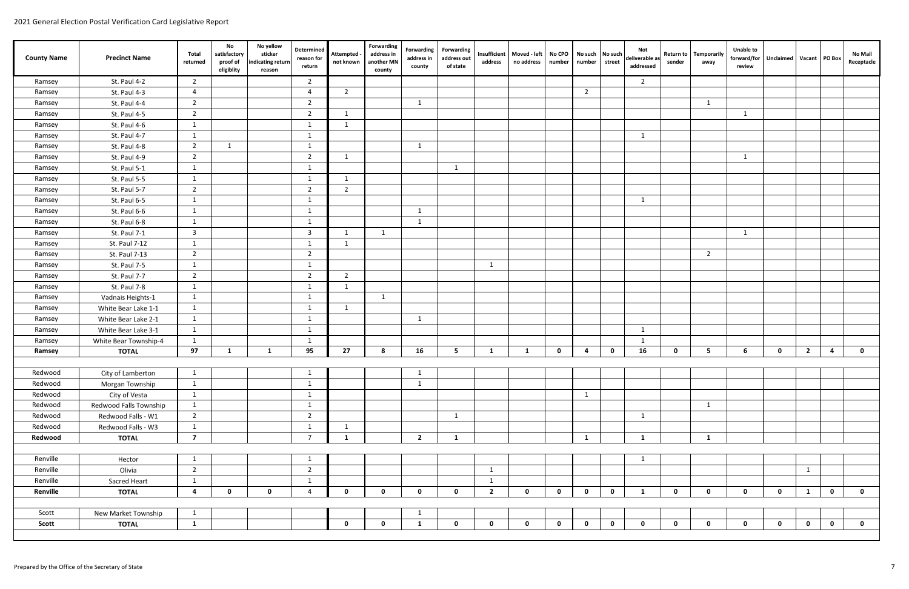| <b>County Name</b> | <b>Precinct Name</b>   | Total<br>returned       | No<br>satisfactory<br>proof of<br>eligiblity | No yellow<br>sticker<br>ndicating return<br>reason | Determined<br>reason for<br>return | <b>Attempted</b><br>not known | <b>Forwarding</b><br>address in<br>another MN<br>county | Forwarding<br>address in<br>county | <b>Forwarding</b><br>address out<br>of state | address        | Insufficient   Moved - left<br>no address | No CPO<br>number | No such<br>number | No such<br>street | Not<br>deliverable as<br>addressed | <b>Return to</b><br>sender | <b>Temporarily</b><br>away | <b>Unable to</b><br>forward/for<br>review | Unclaimed   Vacant   PO Box |                |             | No Mail<br>Receptacle |
|--------------------|------------------------|-------------------------|----------------------------------------------|----------------------------------------------------|------------------------------------|-------------------------------|---------------------------------------------------------|------------------------------------|----------------------------------------------|----------------|-------------------------------------------|------------------|-------------------|-------------------|------------------------------------|----------------------------|----------------------------|-------------------------------------------|-----------------------------|----------------|-------------|-----------------------|
| Ramsey             | St. Paul 4-2           | $\overline{2}$          |                                              |                                                    | $\overline{2}$                     |                               |                                                         |                                    |                                              |                |                                           |                  |                   |                   | $\overline{2}$                     |                            |                            |                                           |                             |                |             |                       |
| Ramsey             | St. Paul 4-3           | $\overline{4}$          |                                              |                                                    | $\overline{a}$                     | $\overline{2}$                |                                                         |                                    |                                              |                |                                           |                  | $\overline{2}$    |                   |                                    |                            |                            |                                           |                             |                |             |                       |
| Ramsey             | St. Paul 4-4           | $\overline{2}$          |                                              |                                                    | 2                                  |                               |                                                         | $\mathbf{1}$                       |                                              |                |                                           |                  |                   |                   |                                    |                            | $\mathbf{1}$               |                                           |                             |                |             |                       |
| Ramsey             | St. Paul 4-5           | $\overline{2}$          |                                              |                                                    | 2                                  | $\overline{1}$                |                                                         |                                    |                                              |                |                                           |                  |                   |                   |                                    |                            |                            | 1                                         |                             |                |             |                       |
| Ramsey             | St. Paul 4-6           | -1                      |                                              |                                                    | - 1                                | -1                            |                                                         |                                    |                                              |                |                                           |                  |                   |                   |                                    |                            |                            |                                           |                             |                |             |                       |
| Ramsey             | St. Paul 4-7           | 1                       |                                              |                                                    | -1                                 |                               |                                                         |                                    |                                              |                |                                           |                  |                   |                   | 1                                  |                            |                            |                                           |                             |                |             |                       |
| Ramsey             | St. Paul 4-8           | $\overline{2}$          | 1                                            |                                                    | -1                                 |                               |                                                         | -1                                 |                                              |                |                                           |                  |                   |                   |                                    |                            |                            |                                           |                             |                |             |                       |
| Ramsey             | St. Paul 4-9           | $\overline{2}$          |                                              |                                                    | $\overline{2}$                     | -1                            |                                                         |                                    |                                              |                |                                           |                  |                   |                   |                                    |                            |                            | 1                                         |                             |                |             |                       |
| Ramsey             | St. Paul 5-1           | 1                       |                                              |                                                    | 1                                  |                               |                                                         |                                    | 1                                            |                |                                           |                  |                   |                   |                                    |                            |                            |                                           |                             |                |             |                       |
| Ramsey             | St. Paul 5-5           | 1                       |                                              |                                                    | -1                                 | - 1                           |                                                         |                                    |                                              |                |                                           |                  |                   |                   |                                    |                            |                            |                                           |                             |                |             |                       |
| Ramsey             | St. Paul 5-7           | $\overline{2}$          |                                              |                                                    | 2                                  | 2                             |                                                         |                                    |                                              |                |                                           |                  |                   |                   |                                    |                            |                            |                                           |                             |                |             |                       |
| Ramsey             | St. Paul 6-5           | 1                       |                                              |                                                    | -1                                 |                               |                                                         |                                    |                                              |                |                                           |                  |                   |                   | 1                                  |                            |                            |                                           |                             |                |             |                       |
| Ramsey             | St. Paul 6-6           | 1                       |                                              |                                                    | -1                                 |                               |                                                         | 1                                  |                                              |                |                                           |                  |                   |                   |                                    |                            |                            |                                           |                             |                |             |                       |
| Ramsey             | St. Paul 6-8           | 1                       |                                              |                                                    | -1                                 |                               |                                                         | 1                                  |                                              |                |                                           |                  |                   |                   |                                    |                            |                            |                                           |                             |                |             |                       |
| Ramsey             | St. Paul 7-1           | $\overline{\mathbf{3}}$ |                                              |                                                    | $\overline{\mathbf{3}}$            | $\overline{\phantom{0}}$      | 1                                                       |                                    |                                              |                |                                           |                  |                   |                   |                                    |                            |                            | 1                                         |                             |                |             |                       |
| Ramsey             | St. Paul 7-12          | 1                       |                                              |                                                    | -1                                 | - 1                           |                                                         |                                    |                                              |                |                                           |                  |                   |                   |                                    |                            |                            |                                           |                             |                |             |                       |
| Ramsey             | St. Paul 7-13          | $\overline{2}$          |                                              |                                                    | $\overline{2}$                     |                               |                                                         |                                    |                                              |                |                                           |                  |                   |                   |                                    |                            | $\overline{2}$             |                                           |                             |                |             |                       |
| Ramsey             | St. Paul 7-5           | 1                       |                                              |                                                    | - 1                                |                               |                                                         |                                    |                                              | -1             |                                           |                  |                   |                   |                                    |                            |                            |                                           |                             |                |             |                       |
| Ramsey             | St. Paul 7-7           | $\overline{2}$          |                                              |                                                    | $\overline{2}$                     | $\overline{2}$                |                                                         |                                    |                                              |                |                                           |                  |                   |                   |                                    |                            |                            |                                           |                             |                |             |                       |
| Ramsey             | St. Paul 7-8           | 1                       |                                              |                                                    | -1                                 | 1                             |                                                         |                                    |                                              |                |                                           |                  |                   |                   |                                    |                            |                            |                                           |                             |                |             |                       |
| Ramsey             | Vadnais Heights-1      | 1                       |                                              |                                                    | -1                                 |                               | 1                                                       |                                    |                                              |                |                                           |                  |                   |                   |                                    |                            |                            |                                           |                             |                |             |                       |
| Ramsey             | White Bear Lake 1-1    | 1                       |                                              |                                                    | 1                                  | $\overline{1}$                |                                                         |                                    |                                              |                |                                           |                  |                   |                   |                                    |                            |                            |                                           |                             |                |             |                       |
| Ramsey             | White Bear Lake 2-1    | -1                      |                                              |                                                    | -1                                 |                               |                                                         | 1                                  |                                              |                |                                           |                  |                   |                   |                                    |                            |                            |                                           |                             |                |             |                       |
| Ramsey             | White Bear Lake 3-1    | -1                      |                                              |                                                    | - 1                                |                               |                                                         |                                    |                                              |                |                                           |                  |                   |                   | -1                                 |                            |                            |                                           |                             |                |             |                       |
| Ramsey             | White Bear Township-4  | 1                       |                                              |                                                    | -1                                 |                               |                                                         |                                    |                                              |                |                                           |                  |                   |                   | 1                                  |                            |                            |                                           |                             |                |             |                       |
| Ramsey             | <b>TOTAL</b>           | 97                      | 1                                            | 1                                                  | 95                                 | 27                            | 8                                                       | 16                                 | 5                                            | 1              | 1                                         | $\mathbf 0$      | -4                | $\mathbf 0$       | 16                                 | $\mathbf 0$                | 5                          | 6                                         | $\mathbf 0$                 | $\overline{2}$ | 4           | $\mathbf 0$           |
|                    |                        |                         |                                              |                                                    |                                    |                               |                                                         |                                    |                                              |                |                                           |                  |                   |                   |                                    |                            |                            |                                           |                             |                |             |                       |
| Redwood            | City of Lamberton      | $\mathbf{1}$            |                                              |                                                    | $\mathbf{r}$                       |                               |                                                         | $\pm$                              |                                              |                |                                           |                  |                   |                   |                                    |                            |                            |                                           |                             |                |             |                       |
| Redwood            | Morgan Township        | 1                       |                                              |                                                    | 1                                  |                               |                                                         | $\mathbf{1}$                       |                                              |                |                                           |                  |                   |                   |                                    |                            |                            |                                           |                             |                |             |                       |
| Redwood            | City of Vesta          | 1                       |                                              |                                                    | -1                                 |                               |                                                         |                                    |                                              |                |                                           |                  | $\mathbf{1}$      |                   |                                    |                            |                            |                                           |                             |                |             |                       |
| Redwood            | Redwood Falls Township | 1                       |                                              |                                                    | -1                                 |                               |                                                         |                                    |                                              |                |                                           |                  |                   |                   |                                    |                            | $\mathbf{1}$               |                                           |                             |                |             |                       |
| Redwood            | Redwood Falls - W1     | $\overline{2}$          |                                              |                                                    | $\overline{2}$                     |                               |                                                         |                                    | $\mathbf{1}$                                 |                |                                           |                  |                   |                   | $\mathbf{1}$                       |                            |                            |                                           |                             |                |             |                       |
| Redwood            | Redwood Falls - W3     | $\mathbf{1}$            |                                              |                                                    | -1                                 | $\mathbf{1}$                  |                                                         |                                    |                                              |                |                                           |                  |                   |                   |                                    |                            |                            |                                           |                             |                |             |                       |
| Redwood            | <b>TOTAL</b>           | $\overline{7}$          |                                              |                                                    | $\overline{7}$                     | 1                             |                                                         | $2^{\circ}$                        | $\mathbf{1}$                                 |                |                                           |                  | $\mathbf{1}$      |                   | $\mathbf{1}$                       |                            | $\mathbf{1}$               |                                           |                             |                |             |                       |
|                    |                        |                         |                                              |                                                    |                                    |                               |                                                         |                                    |                                              |                |                                           |                  |                   |                   |                                    |                            |                            |                                           |                             |                |             |                       |
| Renville           | Hector                 | 1                       |                                              |                                                    | 1                                  |                               |                                                         |                                    |                                              |                |                                           |                  |                   |                   | 1                                  |                            |                            |                                           |                             |                |             |                       |
| Renville           | Olivia                 | $\overline{2}$          |                                              |                                                    | $\overline{2}$                     |                               |                                                         |                                    |                                              | $\mathbf{1}$   |                                           |                  |                   |                   |                                    |                            |                            |                                           |                             | 1              |             |                       |
| Renville           | Sacred Heart           | 1                       |                                              |                                                    | -1                                 |                               |                                                         |                                    |                                              | $\mathbf{1}$   |                                           |                  |                   |                   |                                    |                            |                            |                                           |                             |                |             |                       |
| Renville           | <b>TOTAL</b>           | $\overline{a}$          | $\mathbf 0$                                  | $\mathbf 0$                                        | $\Delta$                           | $\mathbf 0$                   | $\mathbf 0$                                             | $\mathbf 0$                        | $\mathbf 0$                                  | $\overline{2}$ | $\mathbf 0$                               | $\mathbf{0}$     | $\mathbf 0$       | $\mathbf 0$       | $\mathbf{1}$                       | $\mathbf 0$                | $\mathbf 0$                | $\mathbf 0$                               | $\mathbf 0$                 | $\mathbf{1}$   | $\mathbf 0$ | $\mathbf 0$           |
|                    |                        |                         |                                              |                                                    |                                    |                               |                                                         |                                    |                                              |                |                                           |                  |                   |                   |                                    |                            |                            |                                           |                             |                |             |                       |
| Scott              | New Market Township    | 1                       |                                              |                                                    |                                    |                               |                                                         | $\mathbf{1}$                       |                                              |                |                                           |                  |                   |                   |                                    |                            |                            |                                           |                             |                |             |                       |
| Scott              | <b>TOTAL</b>           | $\mathbf{1}$            |                                              |                                                    |                                    | $\mathbf 0$                   | $\mathbf 0$                                             | 1                                  | $\mathbf 0$                                  | $\mathbf 0$    | $\mathbf 0$                               | $\mathbf 0$      | $\mathbf 0$       | $\mathbf 0$       | $\mathbf 0$                        | $\mathbf 0$                | $\mathbf 0$                | $\mathbf 0$                               | $\mathbf 0$                 | $\mathbf 0$    | $\mathbf 0$ | $\mathbf 0$           |
|                    |                        |                         |                                              |                                                    |                                    |                               |                                                         |                                    |                                              |                |                                           |                  |                   |                   |                                    |                            |                            |                                           |                             |                |             |                       |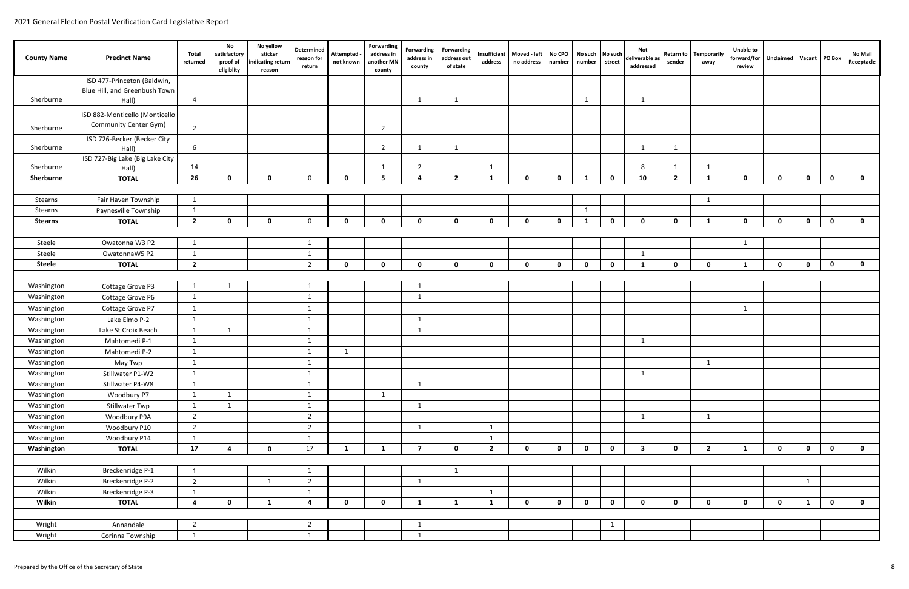| <b>County Name</b> | <b>Precinct Name</b>            | Total<br>returned       | No<br>satisfactory<br>proof of<br>eligiblity | No yellow<br>sticker<br>indicating return<br>reason | Determined<br>reason for<br>return | Attempted<br>not known | Forwarding<br>address in<br>another MN<br>county | Forwarding<br>address in<br>county | Forwarding<br>address out<br>of state | Insufficient<br>address | Moved - left<br>no address | No CPO<br>number | No such No such<br>number | street       | Not<br>deliverable as<br>addressed | <b>Return to</b><br>sender | <b>Temporarily</b><br>away | <b>Unable to</b><br>forward/for<br>review | Unclaimed   Vacant   PO Box |              |              | <b>No Mail</b><br>Receptacle |
|--------------------|---------------------------------|-------------------------|----------------------------------------------|-----------------------------------------------------|------------------------------------|------------------------|--------------------------------------------------|------------------------------------|---------------------------------------|-------------------------|----------------------------|------------------|---------------------------|--------------|------------------------------------|----------------------------|----------------------------|-------------------------------------------|-----------------------------|--------------|--------------|------------------------------|
|                    | ISD 477-Princeton (Baldwin,     |                         |                                              |                                                     |                                    |                        |                                                  |                                    |                                       |                         |                            |                  |                           |              |                                    |                            |                            |                                           |                             |              |              |                              |
|                    | Blue Hill, and Greenbush Town   |                         |                                              |                                                     |                                    |                        |                                                  |                                    |                                       |                         |                            |                  |                           |              |                                    |                            |                            |                                           |                             |              |              |                              |
| Sherburne          | Hall)                           | 4                       |                                              |                                                     |                                    |                        |                                                  | -1                                 | 1                                     |                         |                            |                  | 1                         |              | $\mathbf{1}$                       |                            |                            |                                           |                             |              |              |                              |
|                    | ISD 882-Monticello (Monticello  |                         |                                              |                                                     |                                    |                        |                                                  |                                    |                                       |                         |                            |                  |                           |              |                                    |                            |                            |                                           |                             |              |              |                              |
|                    | <b>Community Center Gym)</b>    | $\overline{2}$          |                                              |                                                     |                                    |                        |                                                  |                                    |                                       |                         |                            |                  |                           |              |                                    |                            |                            |                                           |                             |              |              |                              |
| Sherburne          | ISD 726-Becker (Becker City     |                         |                                              |                                                     |                                    |                        | $\overline{2}$                                   |                                    |                                       |                         |                            |                  |                           |              |                                    |                            |                            |                                           |                             |              |              |                              |
| Sherburne          | Hall)                           | 6                       |                                              |                                                     |                                    |                        | $\overline{2}$                                   | -1                                 | $\mathbf{1}$                          |                         |                            |                  |                           |              | $\mathbf{1}$                       | 1                          |                            |                                           |                             |              |              |                              |
|                    | ISD 727-Big Lake (Big Lake City |                         |                                              |                                                     |                                    |                        |                                                  |                                    |                                       |                         |                            |                  |                           |              |                                    |                            |                            |                                           |                             |              |              |                              |
| Sherburne          | Hall)                           | 14                      |                                              |                                                     |                                    |                        |                                                  | 2                                  |                                       | $\mathbf 1$             |                            |                  |                           |              | 8                                  | 1                          |                            |                                           |                             |              |              |                              |
| Sherburne          | <b>TOTAL</b>                    | 26                      | $\mathbf{0}$                                 | $\mathbf 0$                                         | $\mathbf{0}$                       | $\mathbf 0$            | 5                                                | $\mathbf{a}$                       | $\overline{2}$                        | -1                      | $\mathbf 0$                | $\mathbf 0$      | 1                         | $\mathbf 0$  | 10                                 | $\overline{2}$             | 1                          | $\mathbf 0$                               | $\mathbf 0$                 | $\mathbf 0$  | $\mathbf 0$  | $\mathbf 0$                  |
|                    |                                 |                         |                                              |                                                     |                                    |                        |                                                  |                                    |                                       |                         |                            |                  |                           |              |                                    |                            |                            |                                           |                             |              |              |                              |
| Stearns            | Fair Haven Township             | $\mathbf{1}$            |                                              |                                                     |                                    |                        |                                                  |                                    |                                       |                         |                            |                  |                           |              |                                    |                            | -1                         |                                           |                             |              |              |                              |
| Stearns            | Paynesville Township            | -1                      |                                              |                                                     |                                    |                        |                                                  |                                    |                                       |                         |                            |                  | 1                         |              |                                    |                            |                            |                                           |                             |              |              |                              |
| <b>Stearns</b>     | <b>TOTAL</b>                    | $\overline{2}$          | $\mathbf{0}$                                 | $\mathbf 0$                                         | $\mathbf 0$                        | $\mathbf 0$            | $\mathbf{0}$                                     | $\mathbf{0}$                       | $\mathbf 0$                           | $\mathbf 0$             | $\mathbf 0$                | $\mathbf 0$      | 1                         | $\mathbf{0}$ | $\mathbf 0$                        | $\mathbf 0$                | $\mathbf{1}$               | $\mathbf 0$                               | $\mathbf 0$                 | $\mathbf 0$  | $\mathbf{0}$ | $\mathbf 0$                  |
|                    |                                 |                         |                                              |                                                     |                                    |                        |                                                  |                                    |                                       |                         |                            |                  |                           |              |                                    |                            |                            |                                           |                             |              |              |                              |
| Steele             | Owatonna W3 P2                  | $\mathbf{1}$            |                                              |                                                     | -1                                 |                        |                                                  |                                    |                                       |                         |                            |                  |                           |              |                                    |                            |                            | 1                                         |                             |              |              |                              |
| Steele             | OwatonnaW5 P2                   | -1                      |                                              |                                                     | -1                                 |                        |                                                  |                                    |                                       |                         |                            |                  |                           |              | 1                                  |                            |                            |                                           |                             |              |              |                              |
| <b>Steele</b>      | <b>TOTAL</b>                    | $\overline{2}$          |                                              |                                                     | $\overline{2}$                     | $\mathbf 0$            | $\Omega$                                         | $\mathbf{0}$                       | $\mathbf 0$                           | $\mathbf{0}$            | $\mathbf 0$                | $\mathbf 0$      | $\mathbf 0$               | $\mathbf{0}$ | $\mathbf{1}$                       | $\mathbf{0}$               | <sup>n</sup>               | $\mathbf 1$                               | $\mathbf{0}$                | $\mathbf 0$  | $\mathbf{0}$ | $\mathbf 0$                  |
|                    |                                 |                         |                                              |                                                     |                                    |                        |                                                  |                                    |                                       |                         |                            |                  |                           |              |                                    |                            |                            |                                           |                             |              |              |                              |
| Washington         | Cottage Grove P3                |                         |                                              |                                                     | -1                                 |                        |                                                  | $\mathbf 1$                        |                                       |                         |                            |                  |                           |              |                                    |                            |                            |                                           |                             |              |              |                              |
| Washington         | Cottage Grove P6                | 1                       |                                              |                                                     | 1                                  |                        |                                                  | 1                                  |                                       |                         |                            |                  |                           |              |                                    |                            |                            |                                           |                             |              |              |                              |
| Washington         | Cottage Grove P7                | -1                      |                                              |                                                     | $\mathbf{1}$                       |                        |                                                  |                                    |                                       |                         |                            |                  |                           |              |                                    |                            |                            | $\mathbf{1}$                              |                             |              |              |                              |
| Washington         | Lake Elmo P-2                   | 1                       |                                              |                                                     | $\mathbf{1}$                       |                        |                                                  | $\mathbf{1}$                       |                                       |                         |                            |                  |                           |              |                                    |                            |                            |                                           |                             |              |              |                              |
| Washington         | Lake St Croix Beach             | $\overline{1}$          | $\mathbf{1}$                                 |                                                     | 1                                  |                        |                                                  | 1                                  |                                       |                         |                            |                  |                           |              |                                    |                            |                            |                                           |                             |              |              |                              |
| Washington         | Mahtomedi P-1                   | -1                      |                                              |                                                     | -1                                 |                        |                                                  |                                    |                                       |                         |                            |                  |                           |              | 1                                  |                            |                            |                                           |                             |              |              |                              |
| Washington         | Mahtomedi P-2                   | -1                      |                                              |                                                     | -1                                 | -1                     |                                                  |                                    |                                       |                         |                            |                  |                           |              |                                    |                            |                            |                                           |                             |              |              |                              |
| Washington         | May Twp                         | 1                       |                                              |                                                     | -1                                 |                        |                                                  |                                    |                                       |                         |                            |                  |                           |              |                                    |                            | 1                          |                                           |                             |              |              |                              |
| Washington         | Stillwater P1-W2                | 1                       |                                              |                                                     | $\mathbf{1}$                       |                        |                                                  |                                    |                                       |                         |                            |                  |                           |              | $\mathbf{1}$                       |                            |                            |                                           |                             |              |              |                              |
| Washington         | Stillwater P4-W8                | 1                       |                                              |                                                     | $\mathbf{1}$                       |                        |                                                  | $\mathbf{1}$                       |                                       |                         |                            |                  |                           |              |                                    |                            |                            |                                           |                             |              |              |                              |
| Washington         | Woodbury P7                     | 1                       | 1                                            |                                                     | $\mathbf{1}$                       |                        | $\mathbf{1}$                                     |                                    |                                       |                         |                            |                  |                           |              |                                    |                            |                            |                                           |                             |              |              |                              |
| Washington         | Stillwater Twp                  | 1                       | 1                                            |                                                     | 1                                  |                        |                                                  | $\mathbf{1}$                       |                                       |                         |                            |                  |                           |              |                                    |                            |                            |                                           |                             |              |              |                              |
| Washington         | Woodbury P9A                    | $\overline{2}$          |                                              |                                                     | $\overline{2}$                     |                        |                                                  |                                    |                                       |                         |                            |                  |                           |              | 1                                  |                            | $\mathbf{1}$               |                                           |                             |              |              |                              |
| Washington         | Woodbury P10                    | $\overline{2}$          |                                              |                                                     | $\overline{2}$                     |                        |                                                  | 1                                  |                                       | 1                       |                            |                  |                           |              |                                    |                            |                            |                                           |                             |              |              |                              |
| Washington         | Woodbury P14                    | $\mathbf{1}$            |                                              |                                                     | -1                                 |                        |                                                  |                                    |                                       | 1                       |                            |                  |                           |              |                                    |                            |                            |                                           |                             |              |              |                              |
| Washington         | <b>TOTAL</b>                    | 17                      | $\mathbf{A}$                                 | $\mathbf 0$                                         | 17                                 | $\mathbf{1}$           | 1                                                | $\overline{7}$                     | $\mathbf 0$                           | $\overline{2}$          | $\mathbf 0$                | $\mathbf 0$      | $\mathbf 0$               | $\mathbf 0$  | $\overline{\mathbf{3}}$            | $\mathbf{0}$               | $\overline{2}$             | 1                                         | $\mathbf 0$                 | $\mathbf 0$  | $\mathbf{0}$ | $\mathbf 0$                  |
|                    |                                 |                         |                                              |                                                     |                                    |                        |                                                  |                                    |                                       |                         |                            |                  |                           |              |                                    |                            |                            |                                           |                             |              |              |                              |
| Wilkin             | Breckenridge P-1                | 1                       |                                              |                                                     | 1                                  |                        |                                                  |                                    | 1                                     |                         |                            |                  |                           |              |                                    |                            |                            |                                           |                             |              |              |                              |
| Wilkin             | Breckenridge P-2                | $\overline{2}$          |                                              | $\mathbf{1}$                                        | $\overline{2}$                     |                        |                                                  | 1                                  |                                       |                         |                            |                  |                           |              |                                    |                            |                            |                                           |                             | $\mathbf{1}$ |              |                              |
| Wilkin             | Breckenridge P-3                | $\mathbf{1}$            |                                              |                                                     | $\mathbf{1}$                       |                        |                                                  |                                    |                                       | 1                       |                            |                  |                           |              |                                    |                            |                            |                                           |                             |              |              |                              |
| Wilkin             | <b>TOTAL</b>                    | $\overline{\mathbf{4}}$ | $\mathbf{0}$                                 | 1                                                   | $\overline{4}$                     | $\mathbf 0$            | $\mathbf{0}$                                     | $\mathbf{1}$                       | -1                                    | -1                      | $\mathbf 0$                | $\mathbf 0$      | $\mathbf 0$               | $\mathbf 0$  | $\mathbf 0$                        | $\mathbf{0}$               | $\mathbf{0}$               | $\mathbf{0}$                              | $\mathbf{0}$                | -1           | $\mathbf{0}$ | $\mathbf 0$                  |
|                    |                                 |                         |                                              |                                                     |                                    |                        |                                                  |                                    |                                       |                         |                            |                  |                           |              |                                    |                            |                            |                                           |                             |              |              |                              |
| Wright             | Annandale                       | $\overline{2}$          |                                              |                                                     | $\overline{2}$                     |                        |                                                  | $\mathbf{1}$                       |                                       |                         |                            |                  |                           | $\mathbf{1}$ |                                    |                            |                            |                                           |                             |              |              |                              |
| Wright             | Corinna Township                | 1                       |                                              |                                                     | 1                                  |                        |                                                  | 1                                  |                                       |                         |                            |                  |                           |              |                                    |                            |                            |                                           |                             |              |              |                              |
|                    |                                 |                         |                                              |                                                     |                                    |                        |                                                  |                                    |                                       |                         |                            |                  |                           |              |                                    |                            |                            |                                           |                             |              |              |                              |